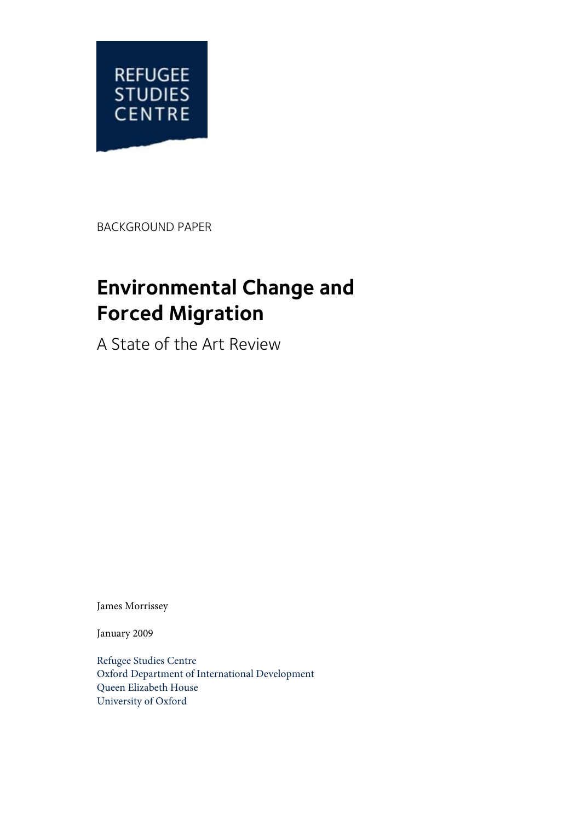

BACKGROUND PAPER

# **Environmental Change and Forced Migration**

A State of the Art Review

James Morrissey

January 2009

Refugee Studies Centre Oxford Department of International Development Queen Elizabeth House University of Oxford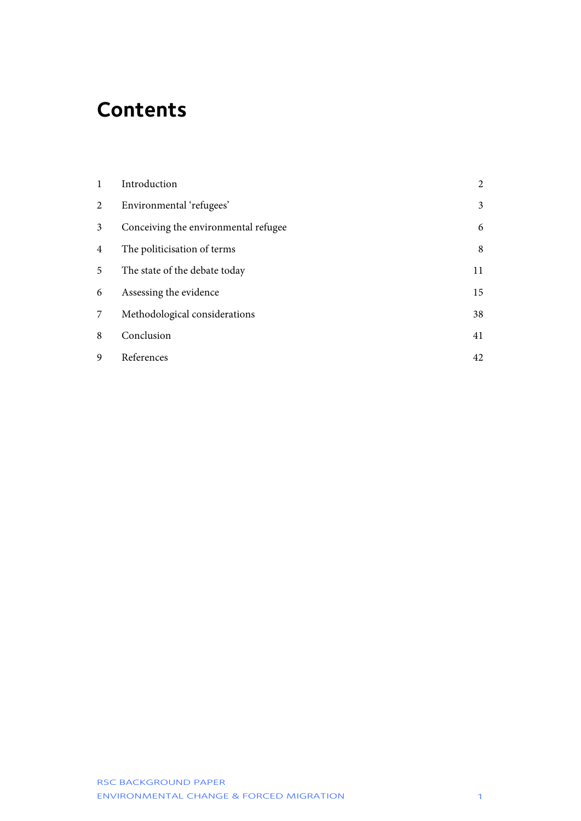# **Contents**

| $\mathbf{1}$ | Introduction                         | $\overline{2}$ |
|--------------|--------------------------------------|----------------|
| 2            | Environmental 'refugees'             | $\mathfrak{Z}$ |
| 3            | Conceiving the environmental refugee | 6              |
| 4            | The politicisation of terms          | 8              |
| 5            | The state of the debate today        | 11             |
| 6            | Assessing the evidence               | 15             |
| 7            | Methodological considerations        | 38             |
| 8            | Conclusion                           | 41             |
| 9            | References                           | 42             |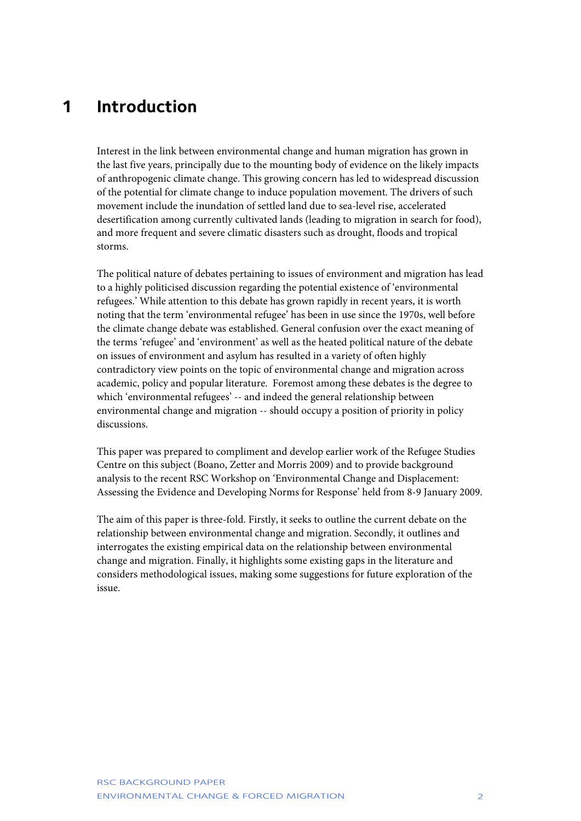# <span id="page-2-0"></span>**1 Introduction**

Interest in the link between environmental change and human migration has grown in the last five years, principally due to the mounting body of evidence on the likely impacts of anthropogenic climate change. This growing concern has led to widespread discussion of the potential for climate change to induce population movement. The drivers of such movement include the inundation of settled land due to sea-level rise, accelerated desertification among currently cultivated lands (leading to migration in search for food), and more frequent and severe climatic disasters such as drought, floods and tropical storms.

The political nature of debates pertaining to issues of environment and migration has lead to a highly politicised discussion regarding the potential existence of 'environmental refugees.' While attention to this debate has grown rapidly in recent years, it is worth noting that the term 'environmental refugee' has been in use since the 1970s, well before the climate change debate was established. General confusion over the exact meaning of the terms 'refugee' and 'environment' as well as the heated political nature of the debate on issues of environment and asylum has resulted in a variety of often highly contradictory view points on the topic of environmental change and migration across academic, policy and popular literature. Foremost among these debates is the degree to which 'environmental refugees' -- and indeed the general relationship between environmental change and migration -- should occupy a position of priority in policy discussions.

This paper was prepared to compliment and develop earlier work of the Refugee Studies Centre on this subject (Boano, Zetter and Morris 2009) and to provide background analysis to the recent RSC Workshop on 'Environmental Change and Displacement: Assessing the Evidence and Developing Norms for Response' held from 8-9 January 2009.

The aim of this paper is three-fold. Firstly, it seeks to outline the current debate on the relationship between environmental change and migration. Secondly, it outlines and interrogates the existing empirical data on the relationship between environmental change and migration. Finally, it highlights some existing gaps in the literature and considers methodological issues, making some suggestions for future exploration of the issue.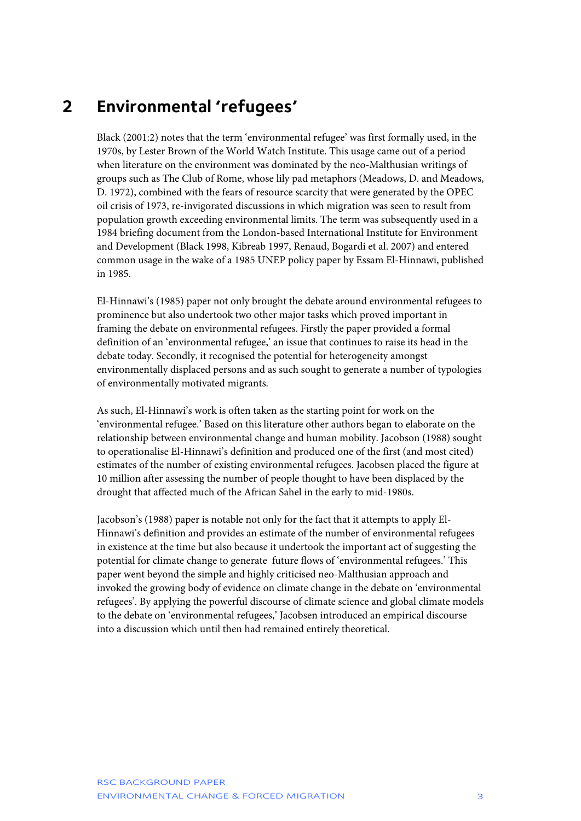### <span id="page-3-0"></span>**2 Environmental 'refugees'**

Black (2001:2) notes that the term 'environmental refugee' was first formally used, in the 1970s, by Lester Brown of the World Watch Institute. This usage came out of a period when literature on the environment was dominated by the neo-Malthusian writings of groups such as The Club of Rome, whose lily pad metaphors (Meadows, D. and Meadows, D. 1972), combined with the fears of resource scarcity that were generated by the OPEC oil crisis of 1973, re-invigorated discussions in which migration was seen to result from population growth exceeding environmental limits. The term was subsequently used in a 1984 briefing document from the London-based International Institute for Environment and Development (Black 1998, Kibreab 1997, Renaud, Bogardi et al. 2007) and entered common usage in the wake of a 1985 UNEP policy paper by Essam El-Hinnawi, published in 1985.

El-Hinnawi's (1985) paper not only brought the debate around environmental refugees to prominence but also undertook two other major tasks which proved important in framing the debate on environmental refugees. Firstly the paper provided a formal definition of an 'environmental refugee,' an issue that continues to raise its head in the debate today. Secondly, it recognised the potential for heterogeneity amongst environmentally displaced persons and as such sought to generate a number of typologies of environmentally motivated migrants.

As such, El-Hinnawi's work is often taken as the starting point for work on the 'environmental refugee.' Based on this literature other authors began to elaborate on the relationship between environmental change and human mobility. Jacobson (1988) sought to operationalise El-Hinnawi's definition and produced one of the first (and most cited) estimates of the number of existing environmental refugees. Jacobsen placed the figure at 10 million after assessing the number of people thought to have been displaced by the drought that affected much of the African Sahel in the early to mid-1980s.

Jacobson's (1988) paper is notable not only for the fact that it attempts to apply El-Hinnawi's definition and provides an estimate of the number of environmental refugees in existence at the time but also because it undertook the important act of suggesting the potential for climate change to generate future flows of 'environmental refugees.' This paper went beyond the simple and highly criticised neo-Malthusian approach and invoked the growing body of evidence on climate change in the debate on 'environmental refugees'. By applying the powerful discourse of climate science and global climate models to the debate on 'environmental refugees,' Jacobsen introduced an empirical discourse into a discussion which until then had remained entirely theoretical.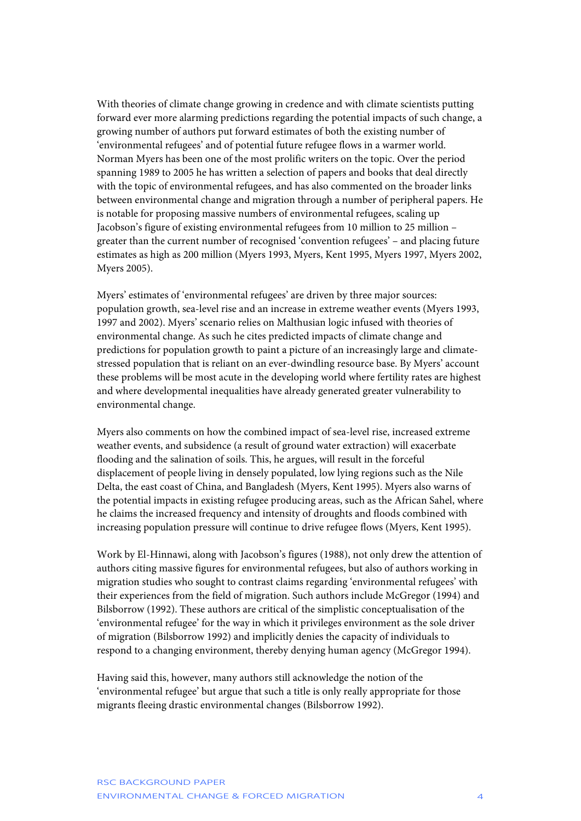With theories of climate change growing in credence and with climate scientists putting forward ever more alarming predictions regarding the potential impacts of such change, a growing number of authors put forward estimates of both the existing number of 'environmental refugees' and of potential future refugee flows in a warmer world. Norman Myers has been one of the most prolific writers on the topic. Over the period spanning 1989 to 2005 he has written a selection of papers and books that deal directly with the topic of environmental refugees, and has also commented on the broader links between environmental change and migration through a number of peripheral papers. He is notable for proposing massive numbers of environmental refugees, scaling up Jacobson's figure of existing environmental refugees from 10 million to 25 million – greater than the current number of recognised 'convention refugees' – and placing future estimates as high as 200 million (Myers 1993, Myers, Kent 1995, Myers 1997, Myers 2002, Myers 2005).

Myers' estimates of 'environmental refugees' are driven by three major sources: population growth, sea-level rise and an increase in extreme weather events (Myers 1993, 1997 and 2002). Myers' scenario relies on Malthusian logic infused with theories of environmental change. As such he cites predicted impacts of climate change and predictions for population growth to paint a picture of an increasingly large and climatestressed population that is reliant on an ever-dwindling resource base. By Myers' account these problems will be most acute in the developing world where fertility rates are highest and where developmental inequalities have already generated greater vulnerability to environmental change.

Myers also comments on how the combined impact of sea-level rise, increased extreme weather events, and subsidence (a result of ground water extraction) will exacerbate flooding and the salination of soils. This, he argues, will result in the forceful displacement of people living in densely populated, low lying regions such as the Nile Delta, the east coast of China, and Bangladesh (Myers, Kent 1995). Myers also warns of the potential impacts in existing refugee producing areas, such as the African Sahel, where he claims the increased frequency and intensity of droughts and floods combined with increasing population pressure will continue to drive refugee flows (Myers, Kent 1995).

Work by El-Hinnawi, along with Jacobson's figures (1988), not only drew the attention of authors citing massive figures for environmental refugees, but also of authors working in migration studies who sought to contrast claims regarding 'environmental refugees' with their experiences from the field of migration. Such authors include McGregor (1994) and Bilsborrow (1992). These authors are critical of the simplistic conceptualisation of the 'environmental refugee' for the way in which it privileges environment as the sole driver of migration (Bilsborrow 1992) and implicitly denies the capacity of individuals to respond to a changing environment, thereby denying human agency (McGregor 1994).

Having said this, however, many authors still acknowledge the notion of the 'environmental refugee' but argue that such a title is only really appropriate for those migrants fleeing drastic environmental changes (Bilsborrow 1992).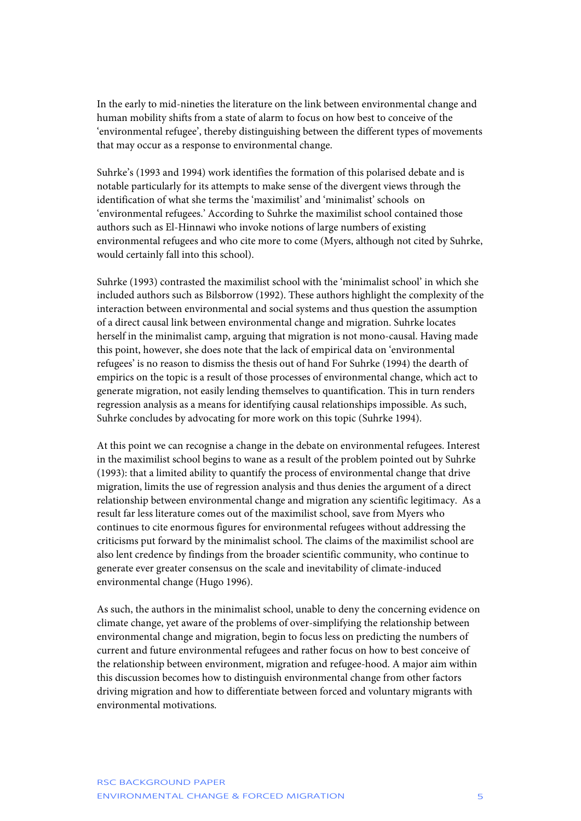In the early to mid-nineties the literature on the link between environmental change and human mobility shifts from a state of alarm to focus on how best to conceive of the 'environmental refugee', thereby distinguishing between the different types of movements that may occur as a response to environmental change.

Suhrke's (1993 and 1994) work identifies the formation of this polarised debate and is notable particularly for its attempts to make sense of the divergent views through the identification of what she terms the 'maximilist' and 'minimalist' schools on 'environmental refugees.' According to Suhrke the maximilist school contained those authors such as El-Hinnawi who invoke notions of large numbers of existing environmental refugees and who cite more to come (Myers, although not cited by Suhrke, would certainly fall into this school).

Suhrke (1993) contrasted the maximilist school with the 'minimalist school' in which she included authors such as Bilsborrow (1992). These authors highlight the complexity of the interaction between environmental and social systems and thus question the assumption of a direct causal link between environmental change and migration. Suhrke locates herself in the minimalist camp, arguing that migration is not mono-causal. Having made this point, however, she does note that the lack of empirical data on 'environmental refugees' is no reason to dismiss the thesis out of hand For Suhrke (1994) the dearth of empirics on the topic is a result of those processes of environmental change, which act to generate migration, not easily lending themselves to quantification. This in turn renders regression analysis as a means for identifying causal relationships impossible. As such, Suhrke concludes by advocating for more work on this topic (Suhrke 1994).

At this point we can recognise a change in the debate on environmental refugees. Interest in the maximilist school begins to wane as a result of the problem pointed out by Suhrke (1993): that a limited ability to quantify the process of environmental change that drive migration, limits the use of regression analysis and thus denies the argument of a direct relationship between environmental change and migration any scientific legitimacy. As a result far less literature comes out of the maximilist school, save from Myers who continues to cite enormous figures for environmental refugees without addressing the criticisms put forward by the minimalist school. The claims of the maximilist school are also lent credence by findings from the broader scientific community, who continue to generate ever greater consensus on the scale and inevitability of climate-induced environmental change (Hugo 1996).

As such, the authors in the minimalist school, unable to deny the concerning evidence on climate change, yet aware of the problems of over-simplifying the relationship between environmental change and migration, begin to focus less on predicting the numbers of current and future environmental refugees and rather focus on how to best conceive of the relationship between environment, migration and refugee-hood. A major aim within this discussion becomes how to distinguish environmental change from other factors driving migration and how to differentiate between forced and voluntary migrants with environmental motivations.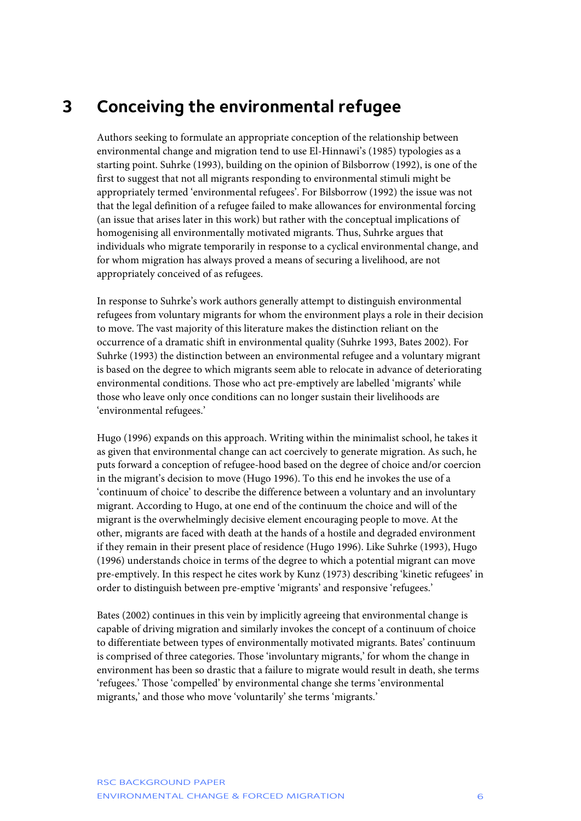# <span id="page-6-0"></span>**3 Conceiving the environmental refugee**

Authors seeking to formulate an appropriate conception of the relationship between environmental change and migration tend to use El-Hinnawi's (1985) typologies as a starting point. Suhrke (1993), building on the opinion of Bilsborrow (1992), is one of the first to suggest that not all migrants responding to environmental stimuli might be appropriately termed 'environmental refugees'. For Bilsborrow (1992) the issue was not that the legal definition of a refugee failed to make allowances for environmental forcing (an issue that arises later in this work) but rather with the conceptual implications of homogenising all environmentally motivated migrants. Thus, Suhrke argues that individuals who migrate temporarily in response to a cyclical environmental change, and for whom migration has always proved a means of securing a livelihood, are not appropriately conceived of as refugees.

In response to Suhrke's work authors generally attempt to distinguish environmental refugees from voluntary migrants for whom the environment plays a role in their decision to move. The vast majority of this literature makes the distinction reliant on the occurrence of a dramatic shift in environmental quality (Suhrke 1993, Bates 2002). For Suhrke (1993) the distinction between an environmental refugee and a voluntary migrant is based on the degree to which migrants seem able to relocate in advance of deteriorating environmental conditions. Those who act pre-emptively are labelled 'migrants' while those who leave only once conditions can no longer sustain their livelihoods are 'environmental refugees.'

Hugo (1996) expands on this approach. Writing within the minimalist school, he takes it as given that environmental change can act coercively to generate migration. As such, he puts forward a conception of refugee-hood based on the degree of choice and/or coercion in the migrant's decision to move (Hugo 1996). To this end he invokes the use of a 'continuum of choice' to describe the difference between a voluntary and an involuntary migrant. According to Hugo, at one end of the continuum the choice and will of the migrant is the overwhelmingly decisive element encouraging people to move. At the other, migrants are faced with death at the hands of a hostile and degraded environment if they remain in their present place of residence (Hugo 1996). Like Suhrke (1993), Hugo (1996) understands choice in terms of the degree to which a potential migrant can move pre-emptively. In this respect he cites work by Kunz (1973) describing 'kinetic refugees' in order to distinguish between pre-emptive 'migrants' and responsive 'refugees.'

Bates (2002) continues in this vein by implicitly agreeing that environmental change is capable of driving migration and similarly invokes the concept of a continuum of choice to differentiate between types of environmentally motivated migrants. Bates' continuum is comprised of three categories. Those 'involuntary migrants,' for whom the change in environment has been so drastic that a failure to migrate would result in death, she terms 'refugees.' Those 'compelled' by environmental change she terms 'environmental migrants,' and those who move 'voluntarily' she terms 'migrants.'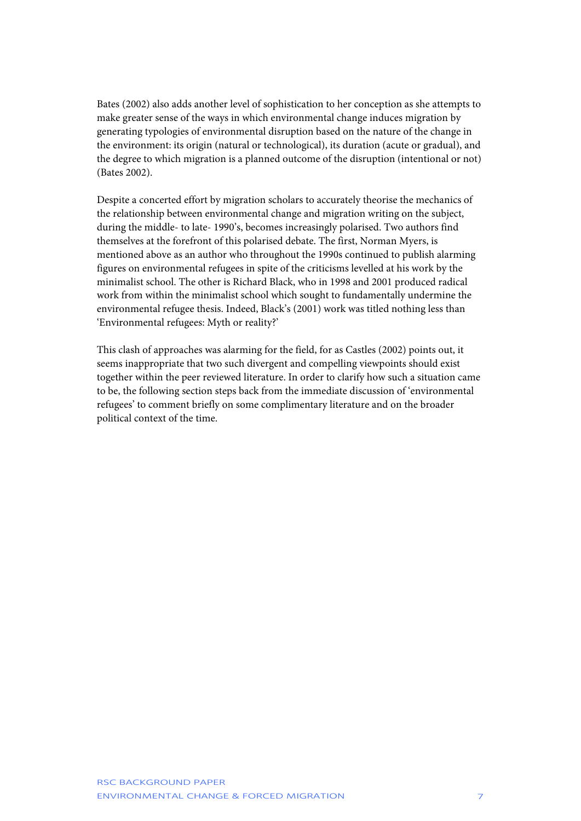Bates (2002) also adds another level of sophistication to her conception as she attempts to make greater sense of the ways in which environmental change induces migration by generating typologies of environmental disruption based on the nature of the change in the environment: its origin (natural or technological), its duration (acute or gradual), and the degree to which migration is a planned outcome of the disruption (intentional or not) (Bates 2002).

Despite a concerted effort by migration scholars to accurately theorise the mechanics of the relationship between environmental change and migration writing on the subject, during the middle- to late- 1990's, becomes increasingly polarised. Two authors find themselves at the forefront of this polarised debate. The first, Norman Myers, is mentioned above as an author who throughout the 1990s continued to publish alarming figures on environmental refugees in spite of the criticisms levelled at his work by the minimalist school. The other is Richard Black, who in 1998 and 2001 produced radical work from within the minimalist school which sought to fundamentally undermine the environmental refugee thesis. Indeed, Black's (2001) work was titled nothing less than 'Environmental refugees: Myth or reality?'

This clash of approaches was alarming for the field, for as Castles (2002) points out, it seems inappropriate that two such divergent and compelling viewpoints should exist together within the peer reviewed literature. In order to clarify how such a situation came to be, the following section steps back from the immediate discussion of 'environmental refugees' to comment briefly on some complimentary literature and on the broader political context of the time.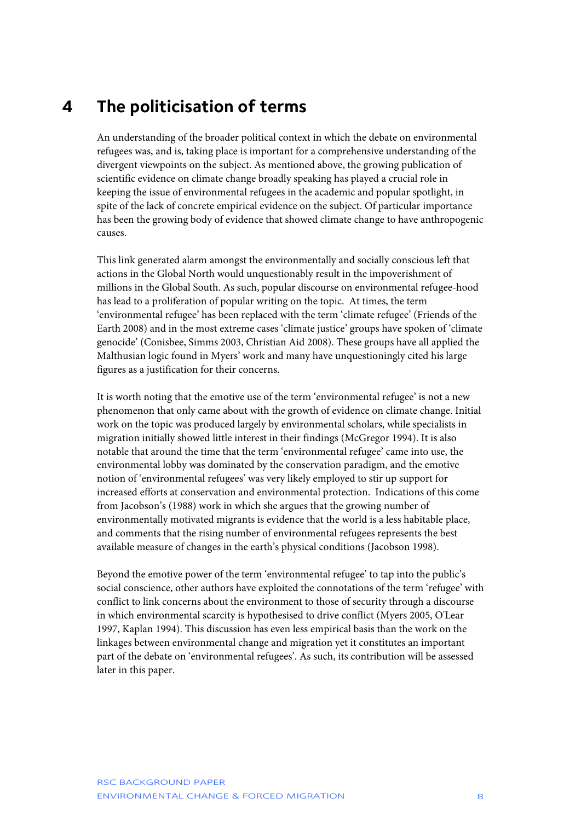### <span id="page-8-0"></span>**4 The politicisation of terms**

An understanding of the broader political context in which the debate on environmental refugees was, and is, taking place is important for a comprehensive understanding of the divergent viewpoints on the subject. As mentioned above, the growing publication of scientific evidence on climate change broadly speaking has played a crucial role in keeping the issue of environmental refugees in the academic and popular spotlight, in spite of the lack of concrete empirical evidence on the subject. Of particular importance has been the growing body of evidence that showed climate change to have anthropogenic causes.

This link generated alarm amongst the environmentally and socially conscious left that actions in the Global North would unquestionably result in the impoverishment of millions in the Global South. As such, popular discourse on environmental refugee-hood has lead to a proliferation of popular writing on the topic. At times, the term 'environmental refugee' has been replaced with the term 'climate refugee' (Friends of the Earth 2008) and in the most extreme cases 'climate justice' groups have spoken of 'climate genocide' (Conisbee, Simms 2003, Christian Aid 2008). These groups have all applied the Malthusian logic found in Myers' work and many have unquestioningly cited his large figures as a justification for their concerns.

It is worth noting that the emotive use of the term 'environmental refugee' is not a new phenomenon that only came about with the growth of evidence on climate change. Initial work on the topic was produced largely by environmental scholars, while specialists in migration initially showed little interest in their findings (McGregor 1994). It is also notable that around the time that the term 'environmental refugee' came into use, the environmental lobby was dominated by the conservation paradigm, and the emotive notion of 'environmental refugees' was very likely employed to stir up support for increased efforts at conservation and environmental protection. Indications of this come from Jacobson's (1988) work in which she argues that the growing number of environmentally motivated migrants is evidence that the world is a less habitable place, and comments that the rising number of environmental refugees represents the best available measure of changes in the earth's physical conditions (Jacobson 1998).

Beyond the emotive power of the term 'environmental refugee' to tap into the public's social conscience, other authors have exploited the connotations of the term 'refugee' with conflict to link concerns about the environment to those of security through a discourse in which environmental scarcity is hypothesised to drive conflict (Myers 2005, O'Lear 1997, Kaplan 1994). This discussion has even less empirical basis than the work on the linkages between environmental change and migration yet it constitutes an important part of the debate on 'environmental refugees'. As such, its contribution will be assessed later in this paper.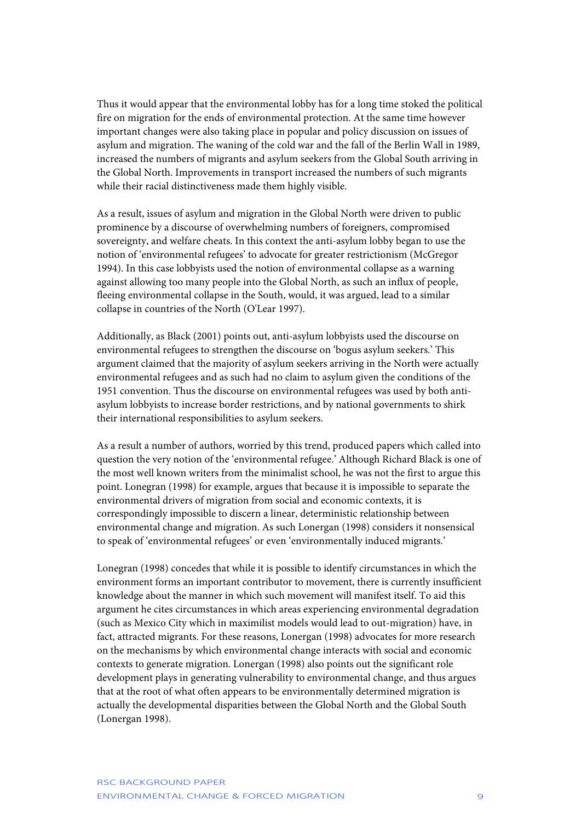Thus it would appear that the environmental lobby has for a long time stoked the political fire on migration for the ends of environmental protection. At the same time however important changes were also taking place in popular and policy discussion on issues of asylum and migration. The waning of the cold war and the fall of the Berlin Wall in 1989, increased the numbers of migrants and asylum seekers from the Global South arriving in the Global North. Improvements in transport increased the numbers of such migrants while their racial distinctiveness made them highly visible.

As a result, issues of asylum and migration in the Global North were driven to public prominence by a discourse of overwhelming numbers of foreigners, compromised sovereignty, and welfare cheats. In this context the anti-asylum lobby began to use the notion of 'environmental refugees' to advocate for greater restrictionism (McGregor 1994). In this case lobbyists used the notion of environmental collapse as a warning against allowing too many people into the Global North, as such an influx of people, fleeing environmental collapse in the South, would, it was argued, lead to a similar collapse in countries of the North (O'Lear 1997).

Additionally, as Black (2001) points out, anti-asylum lobbyists used the discourse on environmental refugees to strengthen the discourse on 'bogus asylum seekers.' This argument claimed that the majority of asylum seekers arriving in the North were actually environmental refugees and as such had no claim to asylum given the conditions of the 1951 convention. Thus the discourse on environmental refugees was used by both antiasylum lobbyists to increase border restrictions, and by national governments to shirk their international responsibilities to asylum seekers.

As a result a number of authors, worried by this trend, produced papers which called into question the very notion of the 'environmental refugee.' Although Richard Black is one of the most well known writers from the minimalist school, he was not the first to argue this point. Lonegran (1998) for example, argues that because it is impossible to separate the environmental drivers of migration from social and economic contexts, it is correspondingly impossible to discern a linear, deterministic relationship between environmental change and migration. As such Lonergan (1998) considers it nonsensical to speak of 'environmental refugees' or even 'environmentally induced migrants.'

Lonegran (1998) concedes that while it is possible to identify circumstances in which the environment forms an important contributor to movement, there is currently insufficient knowledge about the manner in which such movement will manifest itself. To aid this argument he cites circumstances in which areas experiencing environmental degradation (such as Mexico City which in maximilist models would lead to out-migration) have, in fact, attracted migrants. For these reasons, Lonergan (1998) advocates for more research on the mechanisms by which environmental change interacts with social and economic contexts to generate migration. Lonergan (1998) also points out the significant role development plays in generating vulnerability to environmental change, and thus argues that at the root of what often appears to be environmentally determined migration is actually the developmental disparities between the Global North and the Global South (Lonergan 1998).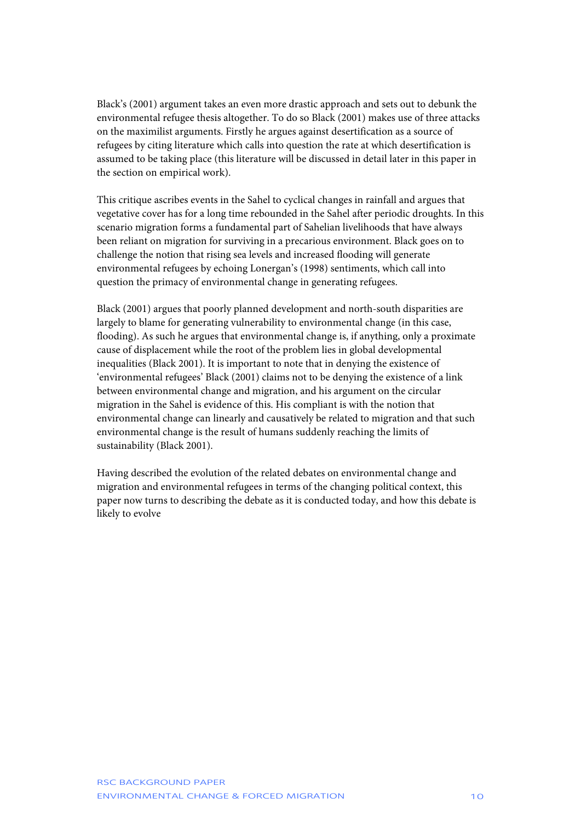Black's (2001) argument takes an even more drastic approach and sets out to debunk the environmental refugee thesis altogether. To do so Black (2001) makes use of three attacks on the maximilist arguments. Firstly he argues against desertification as a source of refugees by citing literature which calls into question the rate at which desertification is assumed to be taking place (this literature will be discussed in detail later in this paper in the section on empirical work).

This critique ascribes events in the Sahel to cyclical changes in rainfall and argues that vegetative cover has for a long time rebounded in the Sahel after periodic droughts. In this scenario migration forms a fundamental part of Sahelian livelihoods that have always been reliant on migration for surviving in a precarious environment. Black goes on to challenge the notion that rising sea levels and increased flooding will generate environmental refugees by echoing Lonergan's (1998) sentiments, which call into question the primacy of environmental change in generating refugees.

Black (2001) argues that poorly planned development and north-south disparities are largely to blame for generating vulnerability to environmental change (in this case, flooding). As such he argues that environmental change is, if anything, only a proximate cause of displacement while the root of the problem lies in global developmental inequalities (Black 2001). It is important to note that in denying the existence of 'environmental refugees' Black (2001) claims not to be denying the existence of a link between environmental change and migration, and his argument on the circular migration in the Sahel is evidence of this. His compliant is with the notion that environmental change can linearly and causatively be related to migration and that such environmental change is the result of humans suddenly reaching the limits of sustainability (Black 2001).

Having described the evolution of the related debates on environmental change and migration and environmental refugees in terms of the changing political context, this paper now turns to describing the debate as it is conducted today, and how this debate is likely to evolve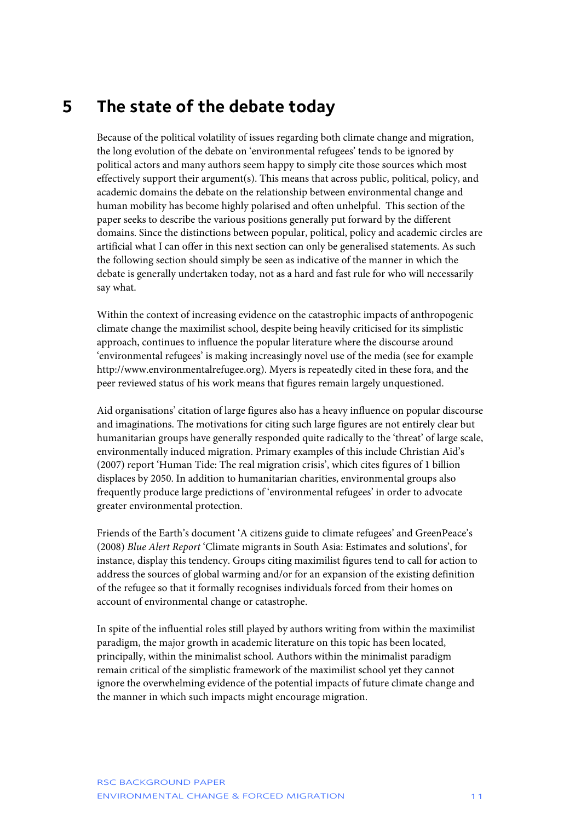# <span id="page-11-0"></span>**5 The state of the debate today**

Because of the political volatility of issues regarding both climate change and migration, the long evolution of the debate on 'environmental refugees' tends to be ignored by political actors and many authors seem happy to simply cite those sources which most effectively support their argument(s). This means that across public, political, policy, and academic domains the debate on the relationship between environmental change and human mobility has become highly polarised and often unhelpful. This section of the paper seeks to describe the various positions generally put forward by the different domains. Since the distinctions between popular, political, policy and academic circles are artificial what I can offer in this next section can only be generalised statements. As such the following section should simply be seen as indicative of the manner in which the debate is generally undertaken today, not as a hard and fast rule for who will necessarily say what.

Within the context of increasing evidence on the catastrophic impacts of anthropogenic climate change the maximilist school, despite being heavily criticised for its simplistic approach, continues to influence the popular literature where the discourse around 'environmental refugees' is making increasingly novel use of the media (see for example http://www.environmentalrefugee.org). Myers is repeatedly cited in these fora, and the peer reviewed status of his work means that figures remain largely unquestioned.

Aid organisations' citation of large figures also has a heavy influence on popular discourse and imaginations. The motivations for citing such large figures are not entirely clear but humanitarian groups have generally responded quite radically to the 'threat' of large scale, environmentally induced migration. Primary examples of this include Christian Aid's (2007) report 'Human Tide: The real migration crisis', which cites figures of 1 billion displaces by 2050. In addition to humanitarian charities, environmental groups also frequently produce large predictions of 'environmental refugees' in order to advocate greater environmental protection.

Friends of the Earth's document 'A citizens guide to climate refugees' and GreenPeace's (2008) *Blue Alert Report* 'Climate migrants in South Asia: Estimates and solutions', for instance, display this tendency. Groups citing maximilist figures tend to call for action to address the sources of global warming and/or for an expansion of the existing definition of the refugee so that it formally recognises individuals forced from their homes on account of environmental change or catastrophe.

In spite of the influential roles still played by authors writing from within the maximilist paradigm, the major growth in academic literature on this topic has been located, principally, within the minimalist school. Authors within the minimalist paradigm remain critical of the simplistic framework of the maximilist school yet they cannot ignore the overwhelming evidence of the potential impacts of future climate change and the manner in which such impacts might encourage migration.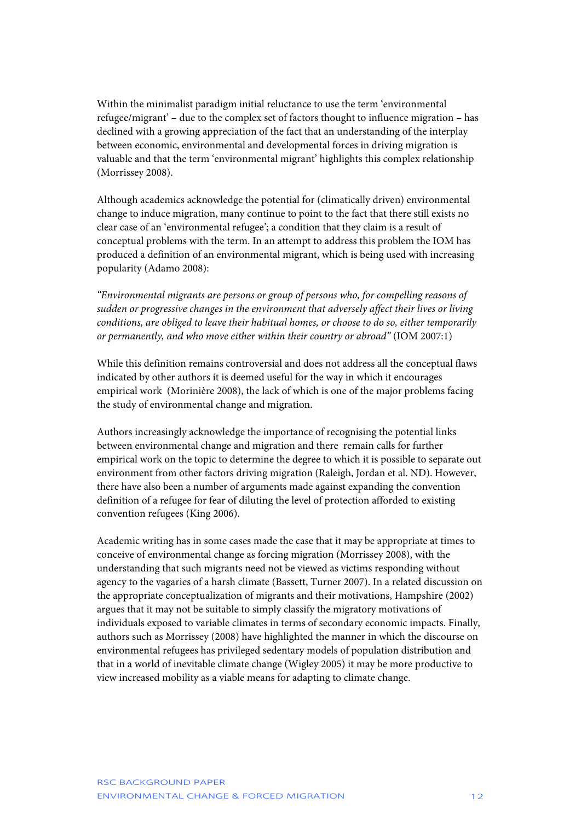Within the minimalist paradigm initial reluctance to use the term 'environmental refugee/migrant' – due to the complex set of factors thought to influence migration – has declined with a growing appreciation of the fact that an understanding of the interplay between economic, environmental and developmental forces in driving migration is valuable and that the term 'environmental migrant' highlights this complex relationship (Morrissey 2008).

Although academics acknowledge the potential for (climatically driven) environmental change to induce migration, many continue to point to the fact that there still exists no clear case of an 'environmental refugee'; a condition that they claim is a result of conceptual problems with the term. In an attempt to address this problem the IOM has produced a definition of an environmental migrant, which is being used with increasing popularity (Adamo 2008):

*"Environmental migrants are persons or group of persons who, for compelling reasons of sudden or progressive changes in the environment that adversely affect their lives or living conditions, are obliged to leave their habitual homes, or choose to do so, either temporarily or permanently, and who move either within their country or abroad"* (IOM 2007:1)

While this definition remains controversial and does not address all the conceptual flaws indicated by other authors it is deemed useful for the way in which it encourages empirical work (Morinière 2008), the lack of which is one of the major problems facing the study of environmental change and migration.

Authors increasingly acknowledge the importance of recognising the potential links between environmental change and migration and there remain calls for further empirical work on the topic to determine the degree to which it is possible to separate out environment from other factors driving migration (Raleigh, Jordan et al. ND). However, there have also been a number of arguments made against expanding the convention definition of a refugee for fear of diluting the level of protection afforded to existing convention refugees (King 2006).

Academic writing has in some cases made the case that it may be appropriate at times to conceive of environmental change as forcing migration (Morrissey 2008), with the understanding that such migrants need not be viewed as victims responding without agency to the vagaries of a harsh climate (Bassett, Turner 2007). In a related discussion on the appropriate conceptualization of migrants and their motivations, Hampshire (2002) argues that it may not be suitable to simply classify the migratory motivations of individuals exposed to variable climates in terms of secondary economic impacts. Finally, authors such as Morrissey (2008) have highlighted the manner in which the discourse on environmental refugees has privileged sedentary models of population distribution and that in a world of inevitable climate change (Wigley 2005) it may be more productive to view increased mobility as a viable means for adapting to climate change.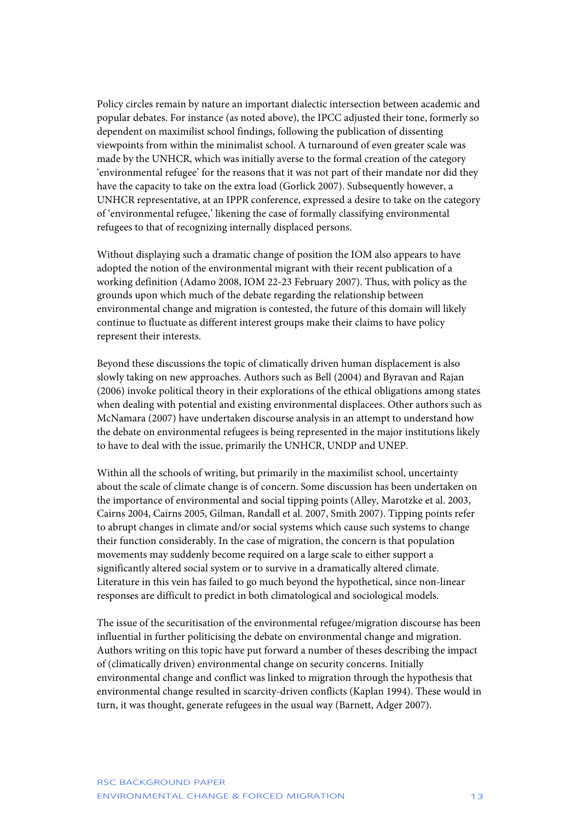Policy circles remain by nature an important dialectic intersection between academic and popular debates. For instance (as noted above), the IPCC adjusted their tone, formerly so dependent on maximilist school findings, following the publication of dissenting viewpoints from within the minimalist school. A turnaround of even greater scale was made by the UNHCR, which was initially averse to the formal creation of the category 'environmental refugee' for the reasons that it was not part of their mandate nor did they have the capacity to take on the extra load (Gorlick 2007). Subsequently however, a UNHCR representative, at an IPPR conference, expressed a desire to take on the category of 'environmental refugee,' likening the case of formally classifying environmental refugees to that of recognizing internally displaced persons.

Without displaying such a dramatic change of position the IOM also appears to have adopted the notion of the environmental migrant with their recent publication of a working definition (Adamo 2008, IOM 22-23 February 2007). Thus, with policy as the grounds upon which much of the debate regarding the relationship between environmental change and migration is contested, the future of this domain will likely continue to fluctuate as different interest groups make their claims to have policy represent their interests.

Beyond these discussions the topic of climatically driven human displacement is also slowly taking on new approaches. Authors such as Bell (2004) and Byravan and Rajan (2006) invoke political theory in their explorations of the ethical obligations among states when dealing with potential and existing environmental displacees. Other authors such as McNamara (2007) have undertaken discourse analysis in an attempt to understand how the debate on environmental refugees is being represented in the major institutions likely to have to deal with the issue, primarily the UNHCR, UNDP and UNEP.

Within all the schools of writing, but primarily in the maximilist school, uncertainty about the scale of climate change is of concern. Some discussion has been undertaken on the importance of environmental and social tipping points (Alley, Marotzke et al. 2003, Cairns 2004, Cairns 2005, Gilman, Randall et al. 2007, Smith 2007). Tipping points refer to abrupt changes in climate and/or social systems which cause such systems to change their function considerably. In the case of migration, the concern is that population movements may suddenly become required on a large scale to either support a significantly altered social system or to survive in a dramatically altered climate. Literature in this vein has failed to go much beyond the hypothetical, since non-linear responses are difficult to predict in both climatological and sociological models.

The issue of the securitisation of the environmental refugee/migration discourse has been influential in further politicising the debate on environmental change and migration. Authors writing on this topic have put forward a number of theses describing the impact of (climatically driven) environmental change on security concerns. Initially environmental change and conflict was linked to migration through the hypothesis that environmental change resulted in scarcity-driven conflicts (Kaplan 1994). These would in turn, it was thought, generate refugees in the usual way (Barnett, Adger 2007).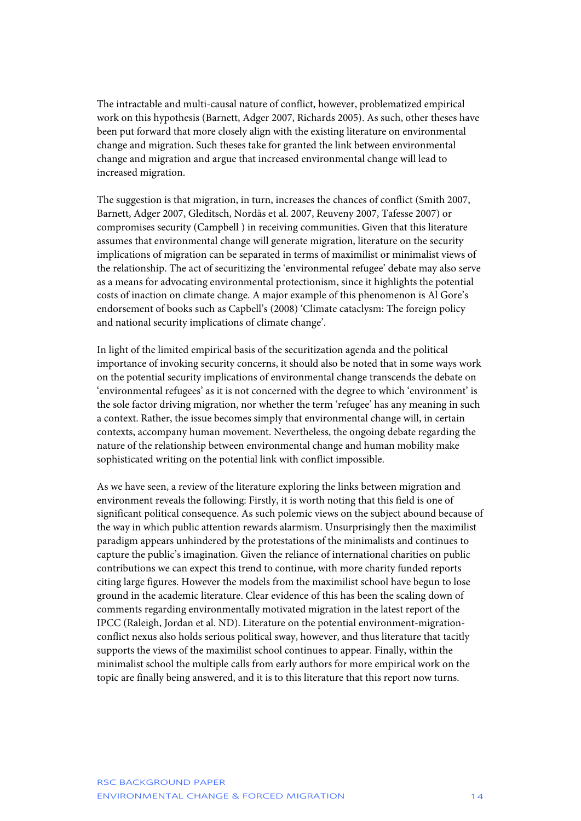The intractable and multi-causal nature of conflict, however, problematized empirical work on this hypothesis (Barnett, Adger 2007, Richards 2005). As such, other theses have been put forward that more closely align with the existing literature on environmental change and migration. Such theses take for granted the link between environmental change and migration and argue that increased environmental change will lead to increased migration.

The suggestion is that migration, in turn, increases the chances of conflict (Smith 2007, Barnett, Adger 2007, Gleditsch, Nordås et al. 2007, Reuveny 2007, Tafesse 2007) or compromises security (Campbell ) in receiving communities. Given that this literature assumes that environmental change will generate migration, literature on the security implications of migration can be separated in terms of maximilist or minimalist views of the relationship. The act of securitizing the 'environmental refugee' debate may also serve as a means for advocating environmental protectionism, since it highlights the potential costs of inaction on climate change. A major example of this phenomenon is Al Gore's endorsement of books such as Capbell's (2008) 'Climate cataclysm: The foreign policy and national security implications of climate change'.

In light of the limited empirical basis of the securitization agenda and the political importance of invoking security concerns, it should also be noted that in some ways work on the potential security implications of environmental change transcends the debate on 'environmental refugees' as it is not concerned with the degree to which 'environment' is the sole factor driving migration, nor whether the term 'refugee' has any meaning in such a context. Rather, the issue becomes simply that environmental change will, in certain contexts, accompany human movement. Nevertheless, the ongoing debate regarding the nature of the relationship between environmental change and human mobility make sophisticated writing on the potential link with conflict impossible.

As we have seen, a review of the literature exploring the links between migration and environment reveals the following: Firstly, it is worth noting that this field is one of significant political consequence. As such polemic views on the subject abound because of the way in which public attention rewards alarmism. Unsurprisingly then the maximilist paradigm appears unhindered by the protestations of the minimalists and continues to capture the public's imagination. Given the reliance of international charities on public contributions we can expect this trend to continue, with more charity funded reports citing large figures. However the models from the maximilist school have begun to lose ground in the academic literature. Clear evidence of this has been the scaling down of comments regarding environmentally motivated migration in the latest report of the IPCC (Raleigh, Jordan et al. ND). Literature on the potential environment-migrationconflict nexus also holds serious political sway, however, and thus literature that tacitly supports the views of the maximilist school continues to appear. Finally, within the minimalist school the multiple calls from early authors for more empirical work on the topic are finally being answered, and it is to this literature that this report now turns.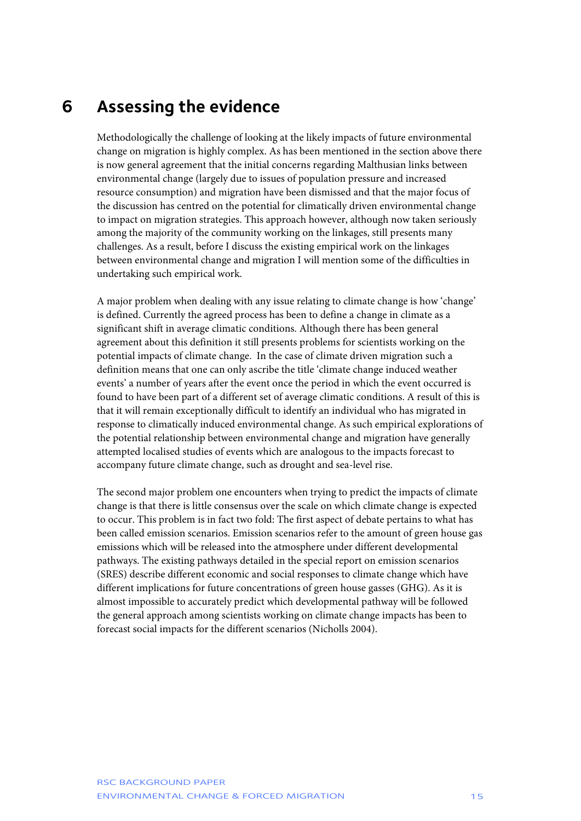### <span id="page-15-0"></span>**6 Assessing the evidence**

Methodologically the challenge of looking at the likely impacts of future environmental change on migration is highly complex. As has been mentioned in the section above there is now general agreement that the initial concerns regarding Malthusian links between environmental change (largely due to issues of population pressure and increased resource consumption) and migration have been dismissed and that the major focus of the discussion has centred on the potential for climatically driven environmental change to impact on migration strategies. This approach however, although now taken seriously among the majority of the community working on the linkages, still presents many challenges. As a result, before I discuss the existing empirical work on the linkages between environmental change and migration I will mention some of the difficulties in undertaking such empirical work.

A major problem when dealing with any issue relating to climate change is how 'change' is defined. Currently the agreed process has been to define a change in climate as a significant shift in average climatic conditions. Although there has been general agreement about this definition it still presents problems for scientists working on the potential impacts of climate change. In the case of climate driven migration such a definition means that one can only ascribe the title 'climate change induced weather events' a number of years after the event once the period in which the event occurred is found to have been part of a different set of average climatic conditions. A result of this is that it will remain exceptionally difficult to identify an individual who has migrated in response to climatically induced environmental change. As such empirical explorations of the potential relationship between environmental change and migration have generally attempted localised studies of events which are analogous to the impacts forecast to accompany future climate change, such as drought and sea-level rise.

The second major problem one encounters when trying to predict the impacts of climate change is that there is little consensus over the scale on which climate change is expected to occur. This problem is in fact two fold: The first aspect of debate pertains to what has been called emission scenarios. Emission scenarios refer to the amount of green house gas emissions which will be released into the atmosphere under different developmental pathways. The existing pathways detailed in the special report on emission scenarios (SRES) describe different economic and social responses to climate change which have different implications for future concentrations of green house gasses (GHG). As it is almost impossible to accurately predict which developmental pathway will be followed the general approach among scientists working on climate change impacts has been to forecast social impacts for the different scenarios (Nicholls 2004).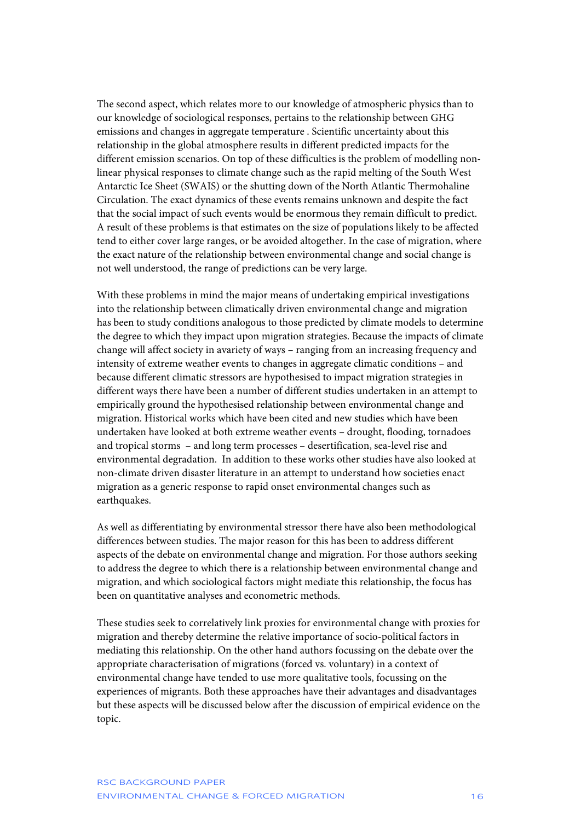The second aspect, which relates more to our knowledge of atmospheric physics than to our knowledge of sociological responses, pertains to the relationship between GHG emissions and changes in aggregate temperature . Scientific uncertainty about this relationship in the global atmosphere results in different predicted impacts for the different emission scenarios. On top of these difficulties is the problem of modelling nonlinear physical responses to climate change such as the rapid melting of the South West Antarctic Ice Sheet (SWAIS) or the shutting down of the North Atlantic Thermohaline Circulation. The exact dynamics of these events remains unknown and despite the fact that the social impact of such events would be enormous they remain difficult to predict. A result of these problems is that estimates on the size of populations likely to be affected tend to either cover large ranges, or be avoided altogether. In the case of migration, where the exact nature of the relationship between environmental change and social change is not well understood, the range of predictions can be very large.

With these problems in mind the major means of undertaking empirical investigations into the relationship between climatically driven environmental change and migration has been to study conditions analogous to those predicted by climate models to determine the degree to which they impact upon migration strategies. Because the impacts of climate change will affect society in avariety of ways – ranging from an increasing frequency and intensity of extreme weather events to changes in aggregate climatic conditions – and because different climatic stressors are hypothesised to impact migration strategies in different ways there have been a number of different studies undertaken in an attempt to empirically ground the hypothesised relationship between environmental change and migration. Historical works which have been cited and new studies which have been undertaken have looked at both extreme weather events – drought, flooding, tornadoes and tropical storms – and long term processes – desertification, sea-level rise and environmental degradation. In addition to these works other studies have also looked at non-climate driven disaster literature in an attempt to understand how societies enact migration as a generic response to rapid onset environmental changes such as earthquakes.

As well as differentiating by environmental stressor there have also been methodological differences between studies. The major reason for this has been to address different aspects of the debate on environmental change and migration. For those authors seeking to address the degree to which there is a relationship between environmental change and migration, and which sociological factors might mediate this relationship, the focus has been on quantitative analyses and econometric methods.

These studies seek to correlatively link proxies for environmental change with proxies for migration and thereby determine the relative importance of socio-political factors in mediating this relationship. On the other hand authors focussing on the debate over the appropriate characterisation of migrations (forced vs. voluntary) in a context of environmental change have tended to use more qualitative tools, focussing on the experiences of migrants. Both these approaches have their advantages and disadvantages but these aspects will be discussed below after the discussion of empirical evidence on the topic.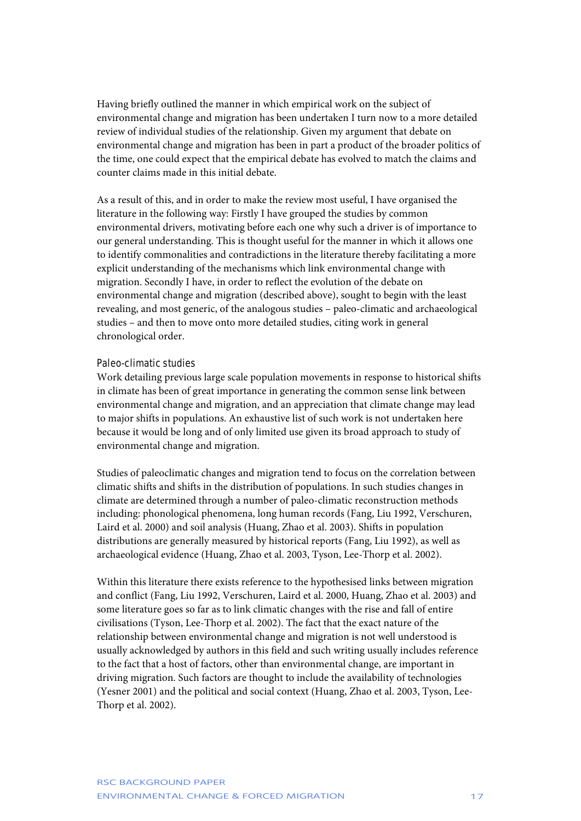Having briefly outlined the manner in which empirical work on the subject of environmental change and migration has been undertaken I turn now to a more detailed review of individual studies of the relationship. Given my argument that debate on environmental change and migration has been in part a product of the broader politics of the time, one could expect that the empirical debate has evolved to match the claims and counter claims made in this initial debate.

As a result of this, and in order to make the review most useful, I have organised the literature in the following way: Firstly I have grouped the studies by common environmental drivers, motivating before each one why such a driver is of importance to our general understanding. This is thought useful for the manner in which it allows one to identify commonalities and contradictions in the literature thereby facilitating a more explicit understanding of the mechanisms which link environmental change with migration. Secondly I have, in order to reflect the evolution of the debate on environmental change and migration (described above), sought to begin with the least revealing, and most generic, of the analogous studies – paleo-climatic and archaeological studies – and then to move onto more detailed studies, citing work in general chronological order.

### Paleo-climatic studies

Work detailing previous large scale population movements in response to historical shifts in climate has been of great importance in generating the common sense link between environmental change and migration, and an appreciation that climate change may lead to major shifts in populations. An exhaustive list of such work is not undertaken here because it would be long and of only limited use given its broad approach to study of environmental change and migration.

Studies of paleoclimatic changes and migration tend to focus on the correlation between climatic shifts and shifts in the distribution of populations. In such studies changes in climate are determined through a number of paleo-climatic reconstruction methods including: phonological phenomena, long human records (Fang, Liu 1992, Verschuren, Laird et al. 2000) and soil analysis (Huang, Zhao et al. 2003). Shifts in population distributions are generally measured by historical reports (Fang, Liu 1992), as well as archaeological evidence (Huang, Zhao et al. 2003, Tyson, Lee-Thorp et al. 2002).

Within this literature there exists reference to the hypothesised links between migration and conflict (Fang, Liu 1992, Verschuren, Laird et al. 2000, Huang, Zhao et al. 2003) and some literature goes so far as to link climatic changes with the rise and fall of entire civilisations (Tyson, Lee-Thorp et al. 2002). The fact that the exact nature of the relationship between environmental change and migration is not well understood is usually acknowledged by authors in this field and such writing usually includes reference to the fact that a host of factors, other than environmental change, are important in driving migration. Such factors are thought to include the availability of technologies (Yesner 2001) and the political and social context (Huang, Zhao et al. 2003, Tyson, Lee-Thorp et al. 2002).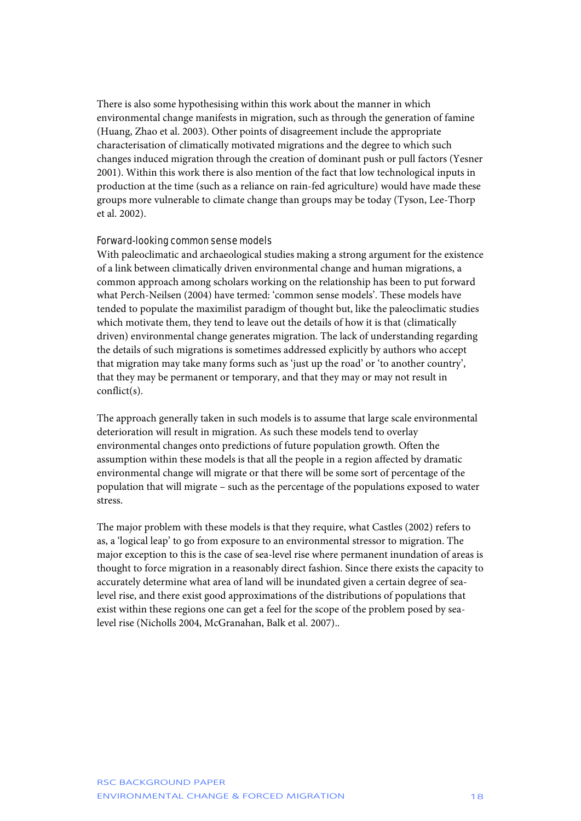There is also some hypothesising within this work about the manner in which environmental change manifests in migration, such as through the generation of famine (Huang, Zhao et al. 2003). Other points of disagreement include the appropriate characterisation of climatically motivated migrations and the degree to which such changes induced migration through the creation of dominant push or pull factors (Yesner 2001). Within this work there is also mention of the fact that low technological inputs in production at the time (such as a reliance on rain-fed agriculture) would have made these groups more vulnerable to climate change than groups may be today (Tyson, Lee-Thorp et al. 2002).

### Forward-looking common sense models

With paleoclimatic and archaeological studies making a strong argument for the existence of a link between climatically driven environmental change and human migrations, a common approach among scholars working on the relationship has been to put forward what Perch-Neilsen (2004) have termed: 'common sense models'. These models have tended to populate the maximilist paradigm of thought but, like the paleoclimatic studies which motivate them, they tend to leave out the details of how it is that (climatically driven) environmental change generates migration. The lack of understanding regarding the details of such migrations is sometimes addressed explicitly by authors who accept that migration may take many forms such as 'just up the road' or 'to another country', that they may be permanent or temporary, and that they may or may not result in conflict(s).

The approach generally taken in such models is to assume that large scale environmental deterioration will result in migration. As such these models tend to overlay environmental changes onto predictions of future population growth. Often the assumption within these models is that all the people in a region affected by dramatic environmental change will migrate or that there will be some sort of percentage of the population that will migrate – such as the percentage of the populations exposed to water stress.

The major problem with these models is that they require, what Castles (2002) refers to as, a 'logical leap' to go from exposure to an environmental stressor to migration. The major exception to this is the case of sea-level rise where permanent inundation of areas is thought to force migration in a reasonably direct fashion. Since there exists the capacity to accurately determine what area of land will be inundated given a certain degree of sealevel rise, and there exist good approximations of the distributions of populations that exist within these regions one can get a feel for the scope of the problem posed by sealevel rise (Nicholls 2004, McGranahan, Balk et al. 2007)..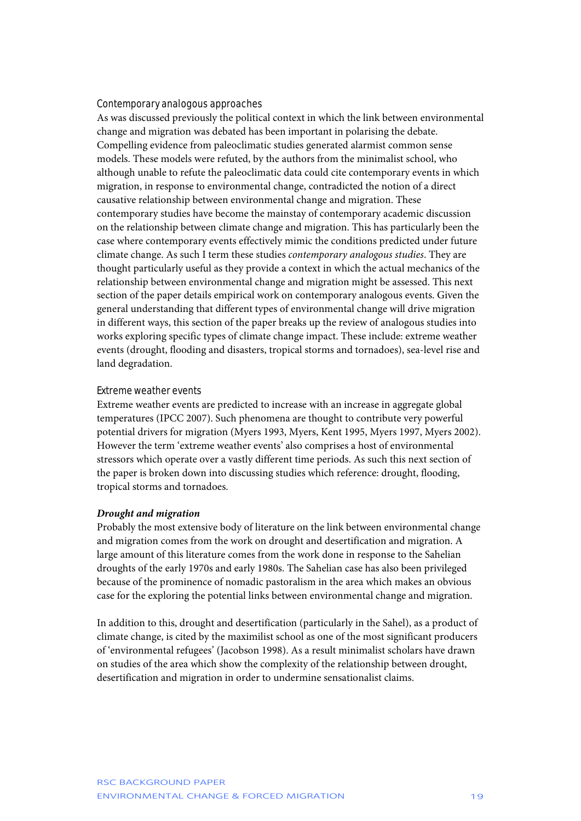### Contemporary analogous approaches

As was discussed previously the political context in which the link between environmental change and migration was debated has been important in polarising the debate. Compelling evidence from paleoclimatic studies generated alarmist common sense models. These models were refuted, by the authors from the minimalist school, who although unable to refute the paleoclimatic data could cite contemporary events in which migration, in response to environmental change, contradicted the notion of a direct causative relationship between environmental change and migration. These contemporary studies have become the mainstay of contemporary academic discussion on the relationship between climate change and migration. This has particularly been the case where contemporary events effectively mimic the conditions predicted under future climate change. As such I term these studies *contemporary analogous studies*. They are thought particularly useful as they provide a context in which the actual mechanics of the relationship between environmental change and migration might be assessed. This next section of the paper details empirical work on contemporary analogous events. Given the general understanding that different types of environmental change will drive migration in different ways, this section of the paper breaks up the review of analogous studies into works exploring specific types of climate change impact. These include: extreme weather events (drought, flooding and disasters, tropical storms and tornadoes), sea-level rise and land degradation.

### Extreme weather events

Extreme weather events are predicted to increase with an increase in aggregate global temperatures (IPCC 2007). Such phenomena are thought to contribute very powerful potential drivers for migration (Myers 1993, Myers, Kent 1995, Myers 1997, Myers 2002). However the term 'extreme weather events' also comprises a host of environmental stressors which operate over a vastly different time periods. As such this next section of the paper is broken down into discussing studies which reference: drought, flooding, tropical storms and tornadoes.

#### *Drought and migration*

Probably the most extensive body of literature on the link between environmental change and migration comes from the work on drought and desertification and migration. A large amount of this literature comes from the work done in response to the Sahelian droughts of the early 1970s and early 1980s. The Sahelian case has also been privileged because of the prominence of nomadic pastoralism in the area which makes an obvious case for the exploring the potential links between environmental change and migration.

In addition to this, drought and desertification (particularly in the Sahel), as a product of climate change, is cited by the maximilist school as one of the most significant producers of 'environmental refugees' (Jacobson 1998). As a result minimalist scholars have drawn on studies of the area which show the complexity of the relationship between drought, desertification and migration in order to undermine sensationalist claims.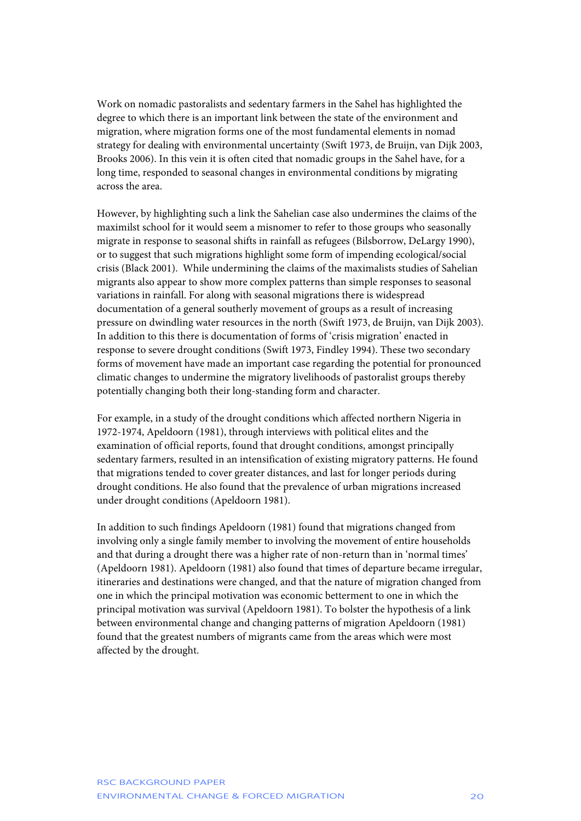Work on nomadic pastoralists and sedentary farmers in the Sahel has highlighted the degree to which there is an important link between the state of the environment and migration, where migration forms one of the most fundamental elements in nomad strategy for dealing with environmental uncertainty (Swift 1973, de Bruijn, van Dijk 2003, Brooks 2006). In this vein it is often cited that nomadic groups in the Sahel have, for a long time, responded to seasonal changes in environmental conditions by migrating across the area.

However, by highlighting such a link the Sahelian case also undermines the claims of the maximilst school for it would seem a misnomer to refer to those groups who seasonally migrate in response to seasonal shifts in rainfall as refugees (Bilsborrow, DeLargy 1990), or to suggest that such migrations highlight some form of impending ecological/social crisis (Black 2001). While undermining the claims of the maximalists studies of Sahelian migrants also appear to show more complex patterns than simple responses to seasonal variations in rainfall. For along with seasonal migrations there is widespread documentation of a general southerly movement of groups as a result of increasing pressure on dwindling water resources in the north (Swift 1973, de Bruijn, van Dijk 2003). In addition to this there is documentation of forms of 'crisis migration' enacted in response to severe drought conditions (Swift 1973, Findley 1994). These two secondary forms of movement have made an important case regarding the potential for pronounced climatic changes to undermine the migratory livelihoods of pastoralist groups thereby potentially changing both their long-standing form and character.

For example, in a study of the drought conditions which affected northern Nigeria in 1972-1974, Apeldoorn (1981), through interviews with political elites and the examination of official reports, found that drought conditions, amongst principally sedentary farmers, resulted in an intensification of existing migratory patterns. He found that migrations tended to cover greater distances, and last for longer periods during drought conditions. He also found that the prevalence of urban migrations increased under drought conditions (Apeldoorn 1981).

In addition to such findings Apeldoorn (1981) found that migrations changed from involving only a single family member to involving the movement of entire households and that during a drought there was a higher rate of non-return than in 'normal times' (Apeldoorn 1981). Apeldoorn (1981) also found that times of departure became irregular, itineraries and destinations were changed, and that the nature of migration changed from one in which the principal motivation was economic betterment to one in which the principal motivation was survival (Apeldoorn 1981). To bolster the hypothesis of a link between environmental change and changing patterns of migration Apeldoorn (1981) found that the greatest numbers of migrants came from the areas which were most affected by the drought.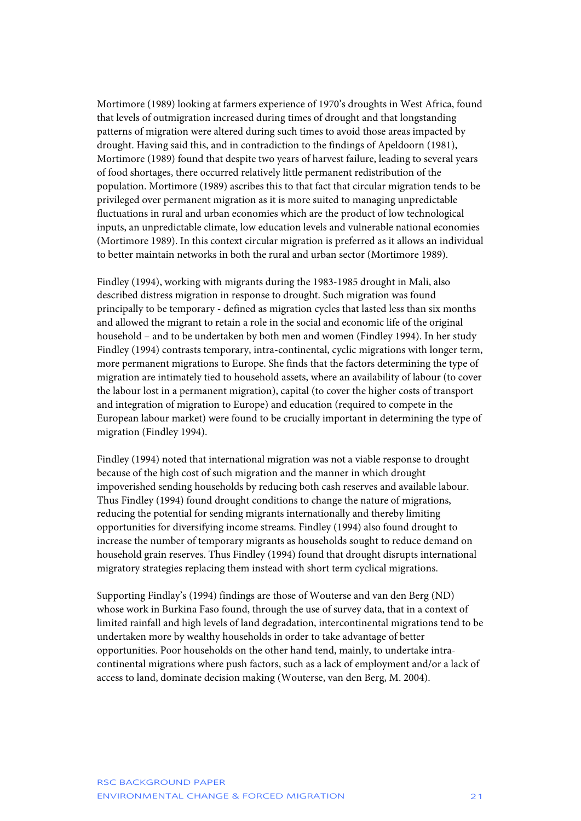Mortimore (1989) looking at farmers experience of 1970's droughts in West Africa, found that levels of outmigration increased during times of drought and that longstanding patterns of migration were altered during such times to avoid those areas impacted by drought. Having said this, and in contradiction to the findings of Apeldoorn (1981), Mortimore (1989) found that despite two years of harvest failure, leading to several years of food shortages, there occurred relatively little permanent redistribution of the population. Mortimore (1989) ascribes this to that fact that circular migration tends to be privileged over permanent migration as it is more suited to managing unpredictable fluctuations in rural and urban economies which are the product of low technological inputs, an unpredictable climate, low education levels and vulnerable national economies (Mortimore 1989). In this context circular migration is preferred as it allows an individual to better maintain networks in both the rural and urban sector (Mortimore 1989).

Findley (1994), working with migrants during the 1983-1985 drought in Mali, also described distress migration in response to drought. Such migration was found principally to be temporary - defined as migration cycles that lasted less than six months and allowed the migrant to retain a role in the social and economic life of the original household – and to be undertaken by both men and women (Findley 1994). In her study Findley (1994) contrasts temporary, intra-continental, cyclic migrations with longer term, more permanent migrations to Europe. She finds that the factors determining the type of migration are intimately tied to household assets, where an availability of labour (to cover the labour lost in a permanent migration), capital (to cover the higher costs of transport and integration of migration to Europe) and education (required to compete in the European labour market) were found to be crucially important in determining the type of migration (Findley 1994).

Findley (1994) noted that international migration was not a viable response to drought because of the high cost of such migration and the manner in which drought impoverished sending households by reducing both cash reserves and available labour. Thus Findley (1994) found drought conditions to change the nature of migrations, reducing the potential for sending migrants internationally and thereby limiting opportunities for diversifying income streams. Findley (1994) also found drought to increase the number of temporary migrants as households sought to reduce demand on household grain reserves. Thus Findley (1994) found that drought disrupts international migratory strategies replacing them instead with short term cyclical migrations.

Supporting Findlay's (1994) findings are those of Wouterse and van den Berg (ND) whose work in Burkina Faso found, through the use of survey data, that in a context of limited rainfall and high levels of land degradation, intercontinental migrations tend to be undertaken more by wealthy households in order to take advantage of better opportunities. Poor households on the other hand tend, mainly, to undertake intracontinental migrations where push factors, such as a lack of employment and/or a lack of access to land, dominate decision making (Wouterse, van den Berg, M. 2004).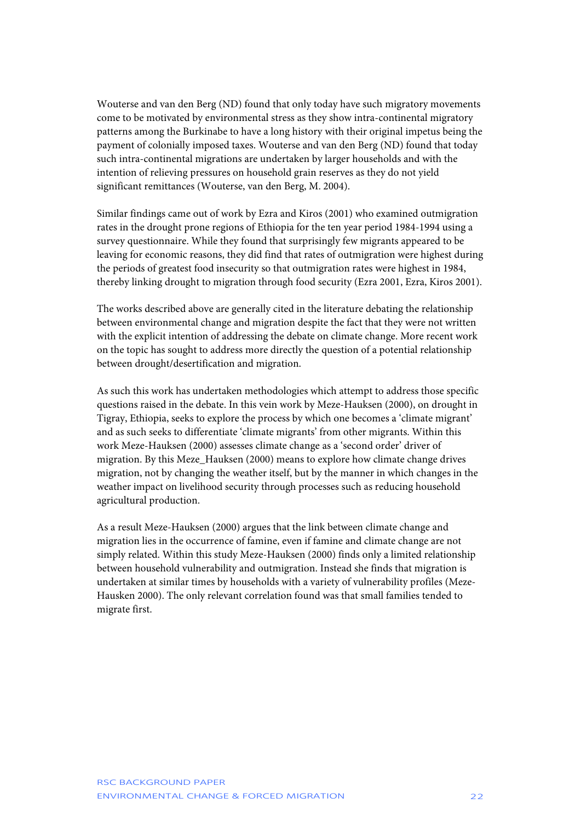Wouterse and van den Berg (ND) found that only today have such migratory movements come to be motivated by environmental stress as they show intra-continental migratory patterns among the Burkinabe to have a long history with their original impetus being the payment of colonially imposed taxes. Wouterse and van den Berg (ND) found that today such intra-continental migrations are undertaken by larger households and with the intention of relieving pressures on household grain reserves as they do not yield significant remittances (Wouterse, van den Berg, M. 2004).

Similar findings came out of work by Ezra and Kiros (2001) who examined outmigration rates in the drought prone regions of Ethiopia for the ten year period 1984-1994 using a survey questionnaire. While they found that surprisingly few migrants appeared to be leaving for economic reasons, they did find that rates of outmigration were highest during the periods of greatest food insecurity so that outmigration rates were highest in 1984, thereby linking drought to migration through food security (Ezra 2001, Ezra, Kiros 2001).

The works described above are generally cited in the literature debating the relationship between environmental change and migration despite the fact that they were not written with the explicit intention of addressing the debate on climate change. More recent work on the topic has sought to address more directly the question of a potential relationship between drought/desertification and migration.

As such this work has undertaken methodologies which attempt to address those specific questions raised in the debate. In this vein work by Meze-Hauksen (2000), on drought in Tigray, Ethiopia, seeks to explore the process by which one becomes a 'climate migrant' and as such seeks to differentiate 'climate migrants' from other migrants. Within this work Meze-Hauksen (2000) assesses climate change as a 'second order' driver of migration. By this Meze\_Hauksen (2000) means to explore how climate change drives migration, not by changing the weather itself, but by the manner in which changes in the weather impact on livelihood security through processes such as reducing household agricultural production.

As a result Meze-Hauksen (2000) argues that the link between climate change and migration lies in the occurrence of famine, even if famine and climate change are not simply related. Within this study Meze-Hauksen (2000) finds only a limited relationship between household vulnerability and outmigration. Instead she finds that migration is undertaken at similar times by households with a variety of vulnerability profiles (Meze-Hausken 2000). The only relevant correlation found was that small families tended to migrate first.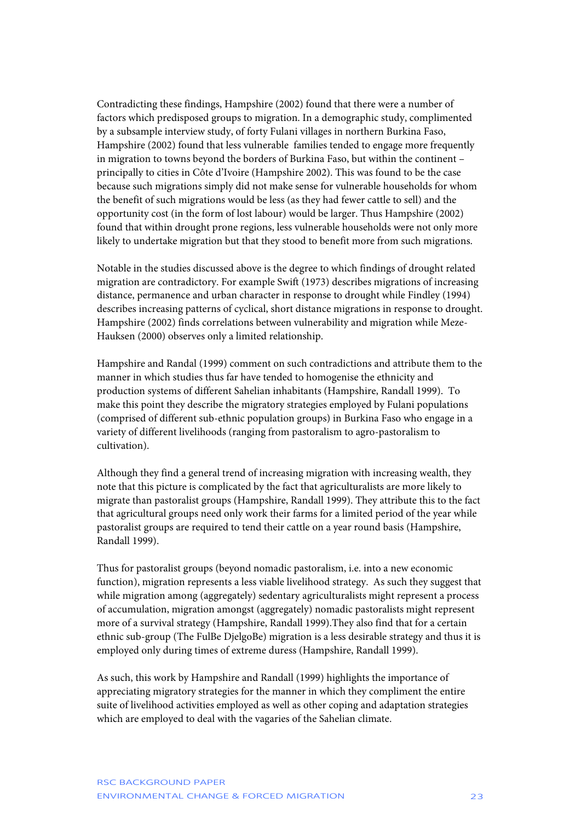Contradicting these findings, Hampshire (2002) found that there were a number of factors which predisposed groups to migration. In a demographic study, complimented by a subsample interview study, of forty Fulani villages in northern Burkina Faso, Hampshire (2002) found that less vulnerable families tended to engage more frequently in migration to towns beyond the borders of Burkina Faso, but within the continent – principally to cities in Côte d'Ivoire (Hampshire 2002). This was found to be the case because such migrations simply did not make sense for vulnerable households for whom the benefit of such migrations would be less (as they had fewer cattle to sell) and the opportunity cost (in the form of lost labour) would be larger. Thus Hampshire (2002) found that within drought prone regions, less vulnerable households were not only more likely to undertake migration but that they stood to benefit more from such migrations.

Notable in the studies discussed above is the degree to which findings of drought related migration are contradictory. For example Swift (1973) describes migrations of increasing distance, permanence and urban character in response to drought while Findley (1994) describes increasing patterns of cyclical, short distance migrations in response to drought. Hampshire (2002) finds correlations between vulnerability and migration while Meze-Hauksen (2000) observes only a limited relationship.

Hampshire and Randal (1999) comment on such contradictions and attribute them to the manner in which studies thus far have tended to homogenise the ethnicity and production systems of different Sahelian inhabitants (Hampshire, Randall 1999). To make this point they describe the migratory strategies employed by Fulani populations (comprised of different sub-ethnic population groups) in Burkina Faso who engage in a variety of different livelihoods (ranging from pastoralism to agro-pastoralism to cultivation).

Although they find a general trend of increasing migration with increasing wealth, they note that this picture is complicated by the fact that agriculturalists are more likely to migrate than pastoralist groups (Hampshire, Randall 1999). They attribute this to the fact that agricultural groups need only work their farms for a limited period of the year while pastoralist groups are required to tend their cattle on a year round basis (Hampshire, Randall 1999).

Thus for pastoralist groups (beyond nomadic pastoralism, i.e. into a new economic function), migration represents a less viable livelihood strategy. As such they suggest that while migration among (aggregately) sedentary agriculturalists might represent a process of accumulation, migration amongst (aggregately) nomadic pastoralists might represent more of a survival strategy (Hampshire, Randall 1999).They also find that for a certain ethnic sub-group (The FulBe DjelgoBe) migration is a less desirable strategy and thus it is employed only during times of extreme duress (Hampshire, Randall 1999).

As such, this work by Hampshire and Randall (1999) highlights the importance of appreciating migratory strategies for the manner in which they compliment the entire suite of livelihood activities employed as well as other coping and adaptation strategies which are employed to deal with the vagaries of the Sahelian climate.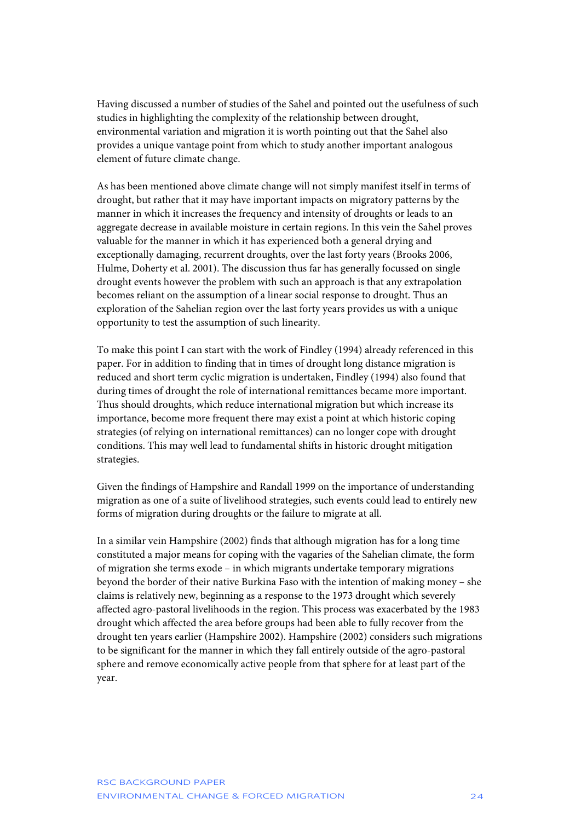Having discussed a number of studies of the Sahel and pointed out the usefulness of such studies in highlighting the complexity of the relationship between drought, environmental variation and migration it is worth pointing out that the Sahel also provides a unique vantage point from which to study another important analogous element of future climate change.

As has been mentioned above climate change will not simply manifest itself in terms of drought, but rather that it may have important impacts on migratory patterns by the manner in which it increases the frequency and intensity of droughts or leads to an aggregate decrease in available moisture in certain regions. In this vein the Sahel proves valuable for the manner in which it has experienced both a general drying and exceptionally damaging, recurrent droughts, over the last forty years (Brooks 2006, Hulme, Doherty et al. 2001). The discussion thus far has generally focussed on single drought events however the problem with such an approach is that any extrapolation becomes reliant on the assumption of a linear social response to drought. Thus an exploration of the Sahelian region over the last forty years provides us with a unique opportunity to test the assumption of such linearity.

To make this point I can start with the work of Findley (1994) already referenced in this paper. For in addition to finding that in times of drought long distance migration is reduced and short term cyclic migration is undertaken, Findley (1994) also found that during times of drought the role of international remittances became more important. Thus should droughts, which reduce international migration but which increase its importance, become more frequent there may exist a point at which historic coping strategies (of relying on international remittances) can no longer cope with drought conditions. This may well lead to fundamental shifts in historic drought mitigation strategies.

Given the findings of Hampshire and Randall 1999 on the importance of understanding migration as one of a suite of livelihood strategies, such events could lead to entirely new forms of migration during droughts or the failure to migrate at all.

In a similar vein Hampshire (2002) finds that although migration has for a long time constituted a major means for coping with the vagaries of the Sahelian climate, the form of migration she terms exode – in which migrants undertake temporary migrations beyond the border of their native Burkina Faso with the intention of making money – she claims is relatively new, beginning as a response to the 1973 drought which severely affected agro-pastoral livelihoods in the region. This process was exacerbated by the 1983 drought which affected the area before groups had been able to fully recover from the drought ten years earlier (Hampshire 2002). Hampshire (2002) considers such migrations to be significant for the manner in which they fall entirely outside of the agro-pastoral sphere and remove economically active people from that sphere for at least part of the year.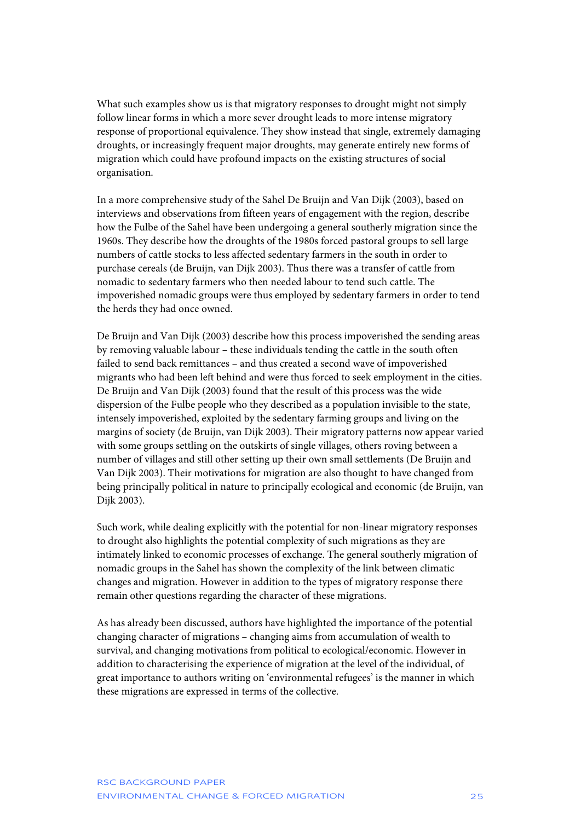What such examples show us is that migratory responses to drought might not simply follow linear forms in which a more sever drought leads to more intense migratory response of proportional equivalence. They show instead that single, extremely damaging droughts, or increasingly frequent major droughts, may generate entirely new forms of migration which could have profound impacts on the existing structures of social organisation.

In a more comprehensive study of the Sahel De Bruijn and Van Dijk (2003), based on interviews and observations from fifteen years of engagement with the region, describe how the Fulbe of the Sahel have been undergoing a general southerly migration since the 1960s. They describe how the droughts of the 1980s forced pastoral groups to sell large numbers of cattle stocks to less affected sedentary farmers in the south in order to purchase cereals (de Bruijn, van Dijk 2003). Thus there was a transfer of cattle from nomadic to sedentary farmers who then needed labour to tend such cattle. The impoverished nomadic groups were thus employed by sedentary farmers in order to tend the herds they had once owned.

De Bruijn and Van Dijk (2003) describe how this process impoverished the sending areas by removing valuable labour – these individuals tending the cattle in the south often failed to send back remittances – and thus created a second wave of impoverished migrants who had been left behind and were thus forced to seek employment in the cities. De Bruijn and Van Dijk (2003) found that the result of this process was the wide dispersion of the Fulbe people who they described as a population invisible to the state, intensely impoverished, exploited by the sedentary farming groups and living on the margins of society (de Bruijn, van Dijk 2003). Their migratory patterns now appear varied with some groups settling on the outskirts of single villages, others roving between a number of villages and still other setting up their own small settlements (De Bruijn and Van Dijk 2003). Their motivations for migration are also thought to have changed from being principally political in nature to principally ecological and economic (de Bruijn, van Dijk 2003).

Such work, while dealing explicitly with the potential for non-linear migratory responses to drought also highlights the potential complexity of such migrations as they are intimately linked to economic processes of exchange. The general southerly migration of nomadic groups in the Sahel has shown the complexity of the link between climatic changes and migration. However in addition to the types of migratory response there remain other questions regarding the character of these migrations.

As has already been discussed, authors have highlighted the importance of the potential changing character of migrations – changing aims from accumulation of wealth to survival, and changing motivations from political to ecological/economic. However in addition to characterising the experience of migration at the level of the individual, of great importance to authors writing on 'environmental refugees' is the manner in which these migrations are expressed in terms of the collective.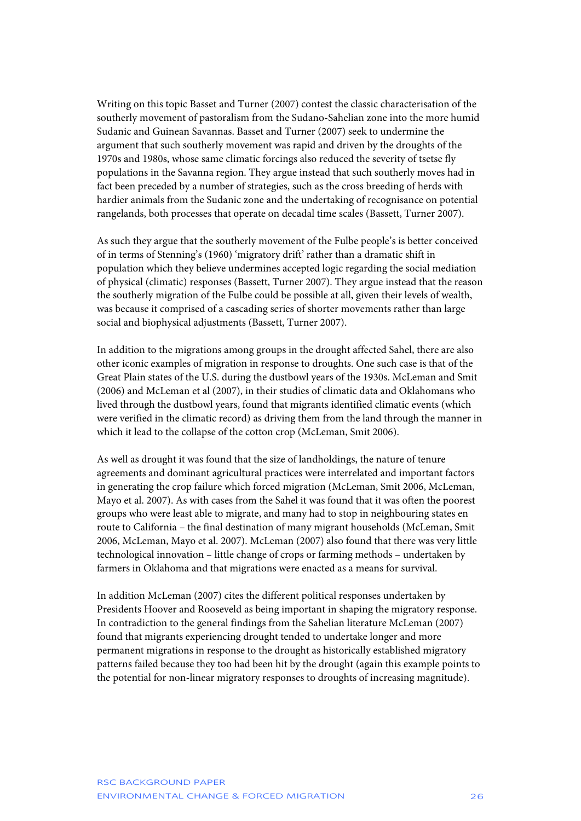Writing on this topic Basset and Turner (2007) contest the classic characterisation of the southerly movement of pastoralism from the Sudano-Sahelian zone into the more humid Sudanic and Guinean Savannas. Basset and Turner (2007) seek to undermine the argument that such southerly movement was rapid and driven by the droughts of the 1970s and 1980s, whose same climatic forcings also reduced the severity of tsetse fly populations in the Savanna region. They argue instead that such southerly moves had in fact been preceded by a number of strategies, such as the cross breeding of herds with hardier animals from the Sudanic zone and the undertaking of recognisance on potential rangelands, both processes that operate on decadal time scales (Bassett, Turner 2007).

As such they argue that the southerly movement of the Fulbe people's is better conceived of in terms of Stenning's (1960) 'migratory drift' rather than a dramatic shift in population which they believe undermines accepted logic regarding the social mediation of physical (climatic) responses (Bassett, Turner 2007). They argue instead that the reason the southerly migration of the Fulbe could be possible at all, given their levels of wealth, was because it comprised of a cascading series of shorter movements rather than large social and biophysical adjustments (Bassett, Turner 2007).

In addition to the migrations among groups in the drought affected Sahel, there are also other iconic examples of migration in response to droughts. One such case is that of the Great Plain states of the U.S. during the dustbowl years of the 1930s. McLeman and Smit (2006) and McLeman et al (2007), in their studies of climatic data and Oklahomans who lived through the dustbowl years, found that migrants identified climatic events (which were verified in the climatic record) as driving them from the land through the manner in which it lead to the collapse of the cotton crop (McLeman, Smit 2006).

As well as drought it was found that the size of landholdings, the nature of tenure agreements and dominant agricultural practices were interrelated and important factors in generating the crop failure which forced migration (McLeman, Smit 2006, McLeman, Mayo et al. 2007). As with cases from the Sahel it was found that it was often the poorest groups who were least able to migrate, and many had to stop in neighbouring states en route to California – the final destination of many migrant households (McLeman, Smit 2006, McLeman, Mayo et al. 2007). McLeman (2007) also found that there was very little technological innovation – little change of crops or farming methods – undertaken by farmers in Oklahoma and that migrations were enacted as a means for survival.

In addition McLeman (2007) cites the different political responses undertaken by Presidents Hoover and Rooseveld as being important in shaping the migratory response. In contradiction to the general findings from the Sahelian literature McLeman (2007) found that migrants experiencing drought tended to undertake longer and more permanent migrations in response to the drought as historically established migratory patterns failed because they too had been hit by the drought (again this example points to the potential for non-linear migratory responses to droughts of increasing magnitude).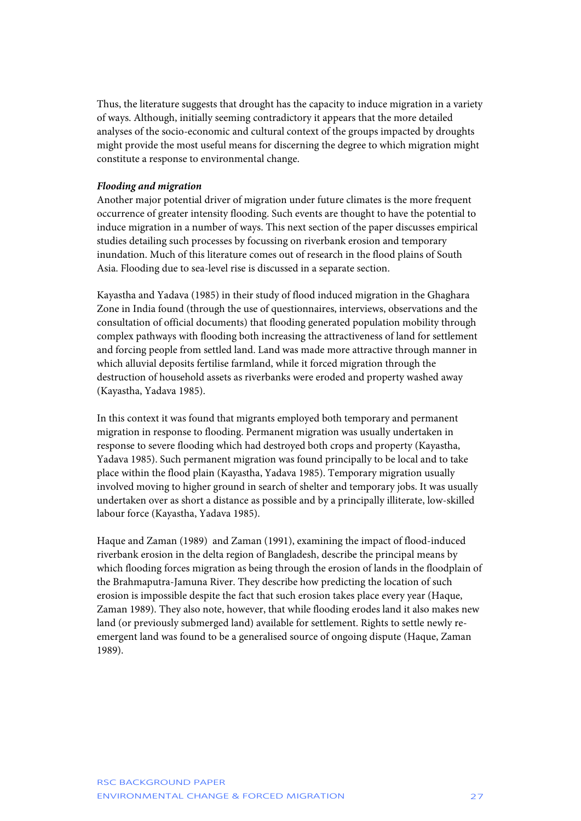Thus, the literature suggests that drought has the capacity to induce migration in a variety of ways. Although, initially seeming contradictory it appears that the more detailed analyses of the socio-economic and cultural context of the groups impacted by droughts might provide the most useful means for discerning the degree to which migration might constitute a response to environmental change.

### *Flooding and migration*

Another major potential driver of migration under future climates is the more frequent occurrence of greater intensity flooding. Such events are thought to have the potential to induce migration in a number of ways. This next section of the paper discusses empirical studies detailing such processes by focussing on riverbank erosion and temporary inundation. Much of this literature comes out of research in the flood plains of South Asia. Flooding due to sea-level rise is discussed in a separate section.

Kayastha and Yadava (1985) in their study of flood induced migration in the Ghaghara Zone in India found (through the use of questionnaires, interviews, observations and the consultation of official documents) that flooding generated population mobility through complex pathways with flooding both increasing the attractiveness of land for settlement and forcing people from settled land. Land was made more attractive through manner in which alluvial deposits fertilise farmland, while it forced migration through the destruction of household assets as riverbanks were eroded and property washed away (Kayastha, Yadava 1985).

In this context it was found that migrants employed both temporary and permanent migration in response to flooding. Permanent migration was usually undertaken in response to severe flooding which had destroyed both crops and property (Kayastha, Yadava 1985). Such permanent migration was found principally to be local and to take place within the flood plain (Kayastha, Yadava 1985). Temporary migration usually involved moving to higher ground in search of shelter and temporary jobs. It was usually undertaken over as short a distance as possible and by a principally illiterate, low-skilled labour force (Kayastha, Yadava 1985).

Haque and Zaman (1989) and Zaman (1991), examining the impact of flood-induced riverbank erosion in the delta region of Bangladesh, describe the principal means by which flooding forces migration as being through the erosion of lands in the floodplain of the Brahmaputra-Jamuna River. They describe how predicting the location of such erosion is impossible despite the fact that such erosion takes place every year (Haque, Zaman 1989). They also note, however, that while flooding erodes land it also makes new land (or previously submerged land) available for settlement. Rights to settle newly reemergent land was found to be a generalised source of ongoing dispute (Haque, Zaman 1989).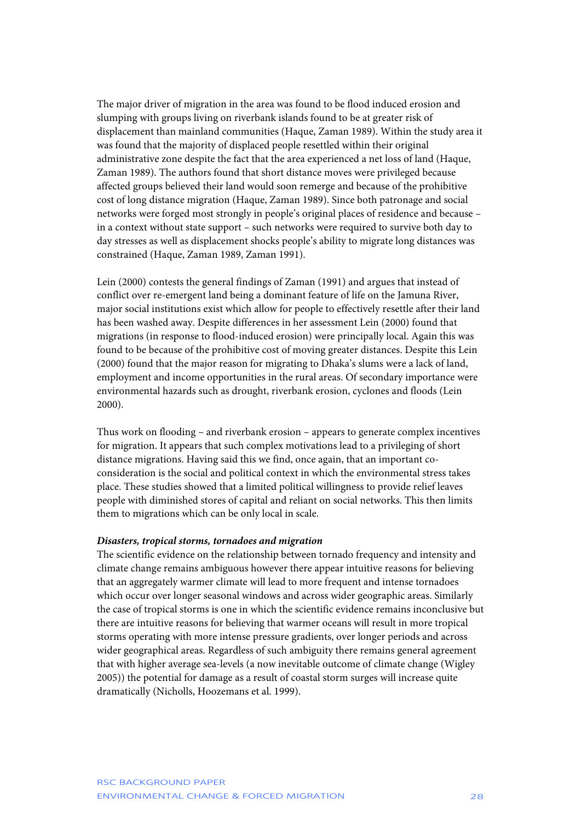The major driver of migration in the area was found to be flood induced erosion and slumping with groups living on riverbank islands found to be at greater risk of displacement than mainland communities (Haque, Zaman 1989). Within the study area it was found that the majority of displaced people resettled within their original administrative zone despite the fact that the area experienced a net loss of land (Haque, Zaman 1989). The authors found that short distance moves were privileged because affected groups believed their land would soon remerge and because of the prohibitive cost of long distance migration (Haque, Zaman 1989). Since both patronage and social networks were forged most strongly in people's original places of residence and because – in a context without state support – such networks were required to survive both day to day stresses as well as displacement shocks people's ability to migrate long distances was constrained (Haque, Zaman 1989, Zaman 1991).

Lein (2000) contests the general findings of Zaman (1991) and argues that instead of conflict over re-emergent land being a dominant feature of life on the Jamuna River, major social institutions exist which allow for people to effectively resettle after their land has been washed away. Despite differences in her assessment Lein (2000) found that migrations (in response to flood-induced erosion) were principally local. Again this was found to be because of the prohibitive cost of moving greater distances. Despite this Lein (2000) found that the major reason for migrating to Dhaka's slums were a lack of land, employment and income opportunities in the rural areas. Of secondary importance were environmental hazards such as drought, riverbank erosion, cyclones and floods (Lein 2000).

Thus work on flooding – and riverbank erosion – appears to generate complex incentives for migration. It appears that such complex motivations lead to a privileging of short distance migrations. Having said this we find, once again, that an important coconsideration is the social and political context in which the environmental stress takes place. These studies showed that a limited political willingness to provide relief leaves people with diminished stores of capital and reliant on social networks. This then limits them to migrations which can be only local in scale.

#### *Disasters, tropical storms, tornadoes and migration*

The scientific evidence on the relationship between tornado frequency and intensity and climate change remains ambiguous however there appear intuitive reasons for believing that an aggregately warmer climate will lead to more frequent and intense tornadoes which occur over longer seasonal windows and across wider geographic areas. Similarly the case of tropical storms is one in which the scientific evidence remains inconclusive but there are intuitive reasons for believing that warmer oceans will result in more tropical storms operating with more intense pressure gradients, over longer periods and across wider geographical areas. Regardless of such ambiguity there remains general agreement that with higher average sea-levels (a now inevitable outcome of climate change (Wigley 2005)) the potential for damage as a result of coastal storm surges will increase quite dramatically (Nicholls, Hoozemans et al. 1999).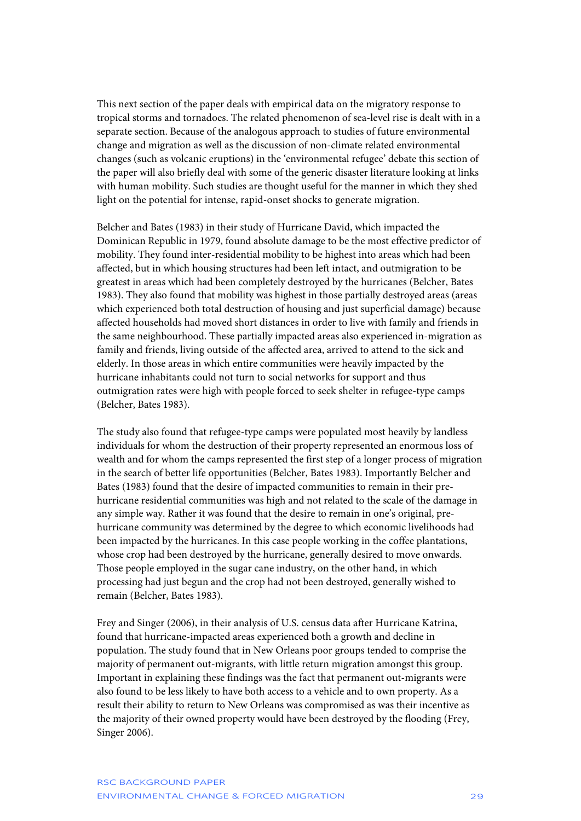This next section of the paper deals with empirical data on the migratory response to tropical storms and tornadoes. The related phenomenon of sea-level rise is dealt with in a separate section. Because of the analogous approach to studies of future environmental change and migration as well as the discussion of non-climate related environmental changes (such as volcanic eruptions) in the 'environmental refugee' debate this section of the paper will also briefly deal with some of the generic disaster literature looking at links with human mobility. Such studies are thought useful for the manner in which they shed light on the potential for intense, rapid-onset shocks to generate migration.

Belcher and Bates (1983) in their study of Hurricane David, which impacted the Dominican Republic in 1979, found absolute damage to be the most effective predictor of mobility. They found inter-residential mobility to be highest into areas which had been affected, but in which housing structures had been left intact, and outmigration to be greatest in areas which had been completely destroyed by the hurricanes (Belcher, Bates 1983). They also found that mobility was highest in those partially destroyed areas (areas which experienced both total destruction of housing and just superficial damage) because affected households had moved short distances in order to live with family and friends in the same neighbourhood. These partially impacted areas also experienced in-migration as family and friends, living outside of the affected area, arrived to attend to the sick and elderly. In those areas in which entire communities were heavily impacted by the hurricane inhabitants could not turn to social networks for support and thus outmigration rates were high with people forced to seek shelter in refugee-type camps (Belcher, Bates 1983).

The study also found that refugee-type camps were populated most heavily by landless individuals for whom the destruction of their property represented an enormous loss of wealth and for whom the camps represented the first step of a longer process of migration in the search of better life opportunities (Belcher, Bates 1983). Importantly Belcher and Bates (1983) found that the desire of impacted communities to remain in their prehurricane residential communities was high and not related to the scale of the damage in any simple way. Rather it was found that the desire to remain in one's original, prehurricane community was determined by the degree to which economic livelihoods had been impacted by the hurricanes. In this case people working in the coffee plantations, whose crop had been destroyed by the hurricane, generally desired to move onwards. Those people employed in the sugar cane industry, on the other hand, in which processing had just begun and the crop had not been destroyed, generally wished to remain (Belcher, Bates 1983).

Frey and Singer (2006), in their analysis of U.S. census data after Hurricane Katrina, found that hurricane-impacted areas experienced both a growth and decline in population. The study found that in New Orleans poor groups tended to comprise the majority of permanent out-migrants, with little return migration amongst this group. Important in explaining these findings was the fact that permanent out-migrants were also found to be less likely to have both access to a vehicle and to own property. As a result their ability to return to New Orleans was compromised as was their incentive as the majority of their owned property would have been destroyed by the flooding (Frey, Singer 2006).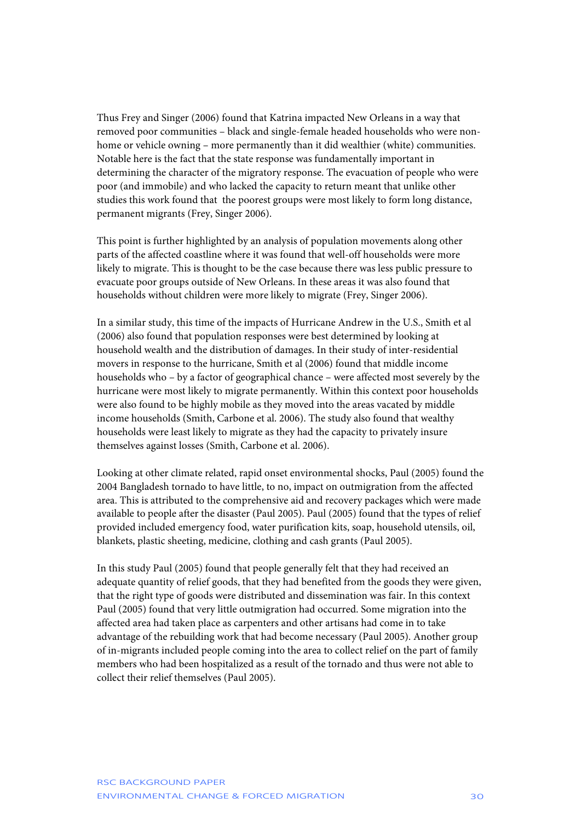Thus Frey and Singer (2006) found that Katrina impacted New Orleans in a way that removed poor communities – black and single-female headed households who were nonhome or vehicle owning – more permanently than it did wealthier (white) communities. Notable here is the fact that the state response was fundamentally important in determining the character of the migratory response. The evacuation of people who were poor (and immobile) and who lacked the capacity to return meant that unlike other studies this work found that the poorest groups were most likely to form long distance, permanent migrants (Frey, Singer 2006).

This point is further highlighted by an analysis of population movements along other parts of the affected coastline where it was found that well-off households were more likely to migrate. This is thought to be the case because there was less public pressure to evacuate poor groups outside of New Orleans. In these areas it was also found that households without children were more likely to migrate (Frey, Singer 2006).

In a similar study, this time of the impacts of Hurricane Andrew in the U.S., Smith et al (2006) also found that population responses were best determined by looking at household wealth and the distribution of damages. In their study of inter-residential movers in response to the hurricane, Smith et al (2006) found that middle income households who – by a factor of geographical chance – were affected most severely by the hurricane were most likely to migrate permanently. Within this context poor households were also found to be highly mobile as they moved into the areas vacated by middle income households (Smith, Carbone et al. 2006). The study also found that wealthy households were least likely to migrate as they had the capacity to privately insure themselves against losses (Smith, Carbone et al. 2006).

Looking at other climate related, rapid onset environmental shocks, Paul (2005) found the 2004 Bangladesh tornado to have little, to no, impact on outmigration from the affected area. This is attributed to the comprehensive aid and recovery packages which were made available to people after the disaster (Paul 2005). Paul (2005) found that the types of relief provided included emergency food, water purification kits, soap, household utensils, oil, blankets, plastic sheeting, medicine, clothing and cash grants (Paul 2005).

In this study Paul (2005) found that people generally felt that they had received an adequate quantity of relief goods, that they had benefited from the goods they were given, that the right type of goods were distributed and dissemination was fair. In this context Paul (2005) found that very little outmigration had occurred. Some migration into the affected area had taken place as carpenters and other artisans had come in to take advantage of the rebuilding work that had become necessary (Paul 2005). Another group of in-migrants included people coming into the area to collect relief on the part of family members who had been hospitalized as a result of the tornado and thus were not able to collect their relief themselves (Paul 2005).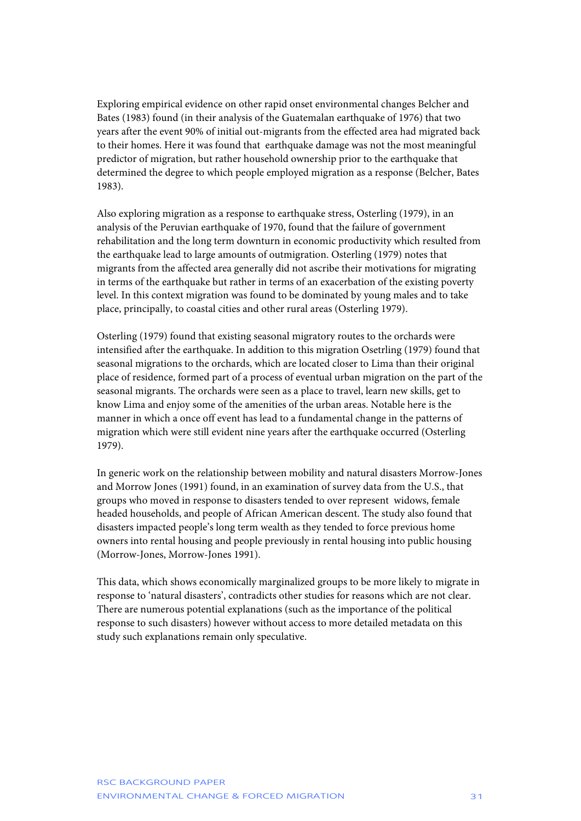Exploring empirical evidence on other rapid onset environmental changes Belcher and Bates (1983) found (in their analysis of the Guatemalan earthquake of 1976) that two years after the event 90% of initial out-migrants from the effected area had migrated back to their homes. Here it was found that earthquake damage was not the most meaningful predictor of migration, but rather household ownership prior to the earthquake that determined the degree to which people employed migration as a response (Belcher, Bates 1983).

Also exploring migration as a response to earthquake stress, Osterling (1979), in an analysis of the Peruvian earthquake of 1970, found that the failure of government rehabilitation and the long term downturn in economic productivity which resulted from the earthquake lead to large amounts of outmigration. Osterling (1979) notes that migrants from the affected area generally did not ascribe their motivations for migrating in terms of the earthquake but rather in terms of an exacerbation of the existing poverty level. In this context migration was found to be dominated by young males and to take place, principally, to coastal cities and other rural areas (Osterling 1979).

Osterling (1979) found that existing seasonal migratory routes to the orchards were intensified after the earthquake. In addition to this migration Osetrling (1979) found that seasonal migrations to the orchards, which are located closer to Lima than their original place of residence, formed part of a process of eventual urban migration on the part of the seasonal migrants. The orchards were seen as a place to travel, learn new skills, get to know Lima and enjoy some of the amenities of the urban areas. Notable here is the manner in which a once off event has lead to a fundamental change in the patterns of migration which were still evident nine years after the earthquake occurred (Osterling 1979).

In generic work on the relationship between mobility and natural disasters Morrow-Jones and Morrow Jones (1991) found, in an examination of survey data from the U.S., that groups who moved in response to disasters tended to over represent widows, female headed households, and people of African American descent. The study also found that disasters impacted people's long term wealth as they tended to force previous home owners into rental housing and people previously in rental housing into public housing (Morrow-Jones, Morrow-Jones 1991).

This data, which shows economically marginalized groups to be more likely to migrate in response to 'natural disasters', contradicts other studies for reasons which are not clear. There are numerous potential explanations (such as the importance of the political response to such disasters) however without access to more detailed metadata on this study such explanations remain only speculative.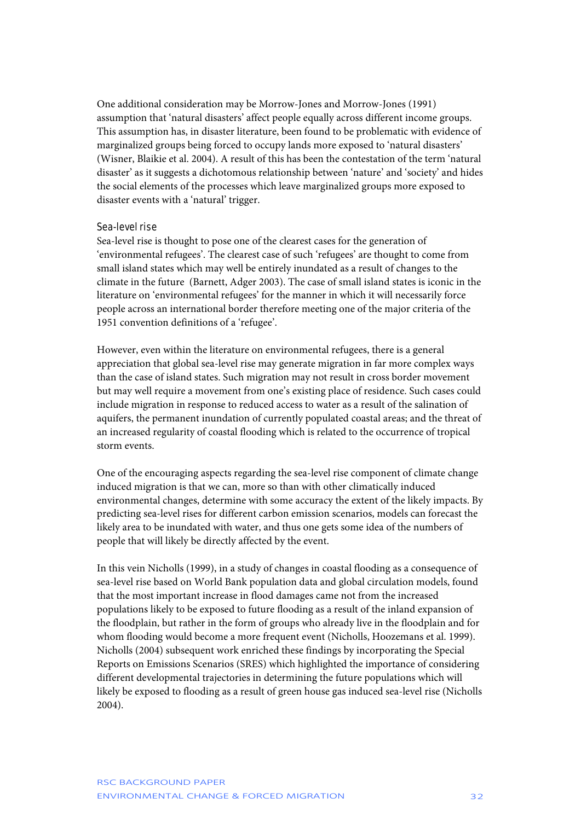One additional consideration may be Morrow-Jones and Morrow-Jones (1991) assumption that 'natural disasters' affect people equally across different income groups. This assumption has, in disaster literature, been found to be problematic with evidence of marginalized groups being forced to occupy lands more exposed to 'natural disasters' (Wisner, Blaikie et al. 2004). A result of this has been the contestation of the term 'natural disaster' as it suggests a dichotomous relationship between 'nature' and 'society' and hides the social elements of the processes which leave marginalized groups more exposed to disaster events with a 'natural' trigger.

#### Sea-level rise

Sea-level rise is thought to pose one of the clearest cases for the generation of 'environmental refugees'. The clearest case of such 'refugees' are thought to come from small island states which may well be entirely inundated as a result of changes to the climate in the future (Barnett, Adger 2003). The case of small island states is iconic in the literature on 'environmental refugees' for the manner in which it will necessarily force people across an international border therefore meeting one of the major criteria of the 1951 convention definitions of a 'refugee'.

However, even within the literature on environmental refugees, there is a general appreciation that global sea-level rise may generate migration in far more complex ways than the case of island states. Such migration may not result in cross border movement but may well require a movement from one's existing place of residence. Such cases could include migration in response to reduced access to water as a result of the salination of aquifers, the permanent inundation of currently populated coastal areas; and the threat of an increased regularity of coastal flooding which is related to the occurrence of tropical storm events.

One of the encouraging aspects regarding the sea-level rise component of climate change induced migration is that we can, more so than with other climatically induced environmental changes, determine with some accuracy the extent of the likely impacts. By predicting sea-level rises for different carbon emission scenarios, models can forecast the likely area to be inundated with water, and thus one gets some idea of the numbers of people that will likely be directly affected by the event.

In this vein Nicholls (1999), in a study of changes in coastal flooding as a consequence of sea-level rise based on World Bank population data and global circulation models, found that the most important increase in flood damages came not from the increased populations likely to be exposed to future flooding as a result of the inland expansion of the floodplain, but rather in the form of groups who already live in the floodplain and for whom flooding would become a more frequent event (Nicholls, Hoozemans et al. 1999). Nicholls (2004) subsequent work enriched these findings by incorporating the Special Reports on Emissions Scenarios (SRES) which highlighted the importance of considering different developmental trajectories in determining the future populations which will likely be exposed to flooding as a result of green house gas induced sea-level rise (Nicholls 2004).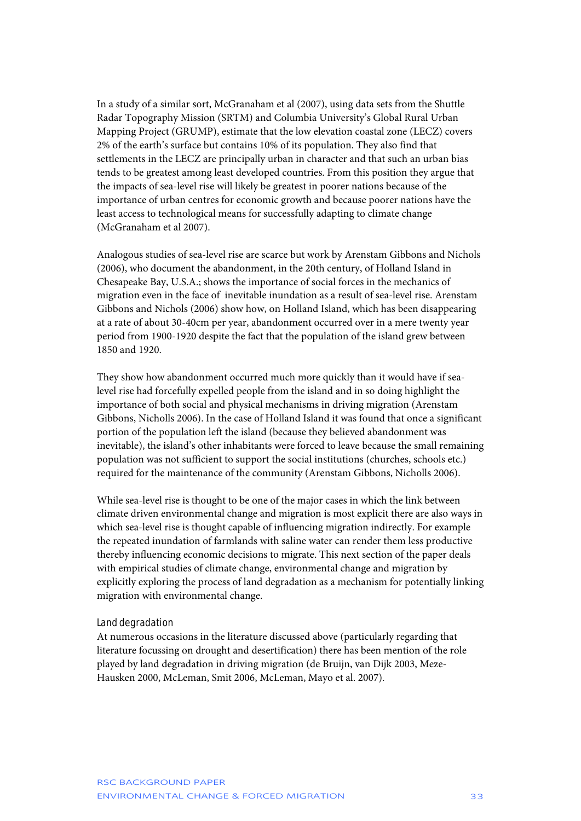In a study of a similar sort, McGranaham et al (2007), using data sets from the Shuttle Radar Topography Mission (SRTM) and Columbia University's Global Rural Urban Mapping Project (GRUMP), estimate that the low elevation coastal zone (LECZ) covers 2% of the earth's surface but contains 10% of its population. They also find that settlements in the LECZ are principally urban in character and that such an urban bias tends to be greatest among least developed countries. From this position they argue that the impacts of sea-level rise will likely be greatest in poorer nations because of the importance of urban centres for economic growth and because poorer nations have the least access to technological means for successfully adapting to climate change (McGranaham et al 2007).

Analogous studies of sea-level rise are scarce but work by Arenstam Gibbons and Nichols (2006), who document the abandonment, in the 20th century, of Holland Island in Chesapeake Bay, U.S.A.; shows the importance of social forces in the mechanics of migration even in the face of inevitable inundation as a result of sea-level rise. Arenstam Gibbons and Nichols (2006) show how, on Holland Island, which has been disappearing at a rate of about 30-40cm per year, abandonment occurred over in a mere twenty year period from 1900-1920 despite the fact that the population of the island grew between 1850 and 1920.

They show how abandonment occurred much more quickly than it would have if sealevel rise had forcefully expelled people from the island and in so doing highlight the importance of both social and physical mechanisms in driving migration (Arenstam Gibbons, Nicholls 2006). In the case of Holland Island it was found that once a significant portion of the population left the island (because they believed abandonment was inevitable), the island's other inhabitants were forced to leave because the small remaining population was not sufficient to support the social institutions (churches, schools etc.) required for the maintenance of the community (Arenstam Gibbons, Nicholls 2006).

While sea-level rise is thought to be one of the major cases in which the link between climate driven environmental change and migration is most explicit there are also ways in which sea-level rise is thought capable of influencing migration indirectly. For example the repeated inundation of farmlands with saline water can render them less productive thereby influencing economic decisions to migrate. This next section of the paper deals with empirical studies of climate change, environmental change and migration by explicitly exploring the process of land degradation as a mechanism for potentially linking migration with environmental change.

#### Land degradation

At numerous occasions in the literature discussed above (particularly regarding that literature focussing on drought and desertification) there has been mention of the role played by land degradation in driving migration (de Bruijn, van Dijk 2003, Meze-Hausken 2000, McLeman, Smit 2006, McLeman, Mayo et al. 2007).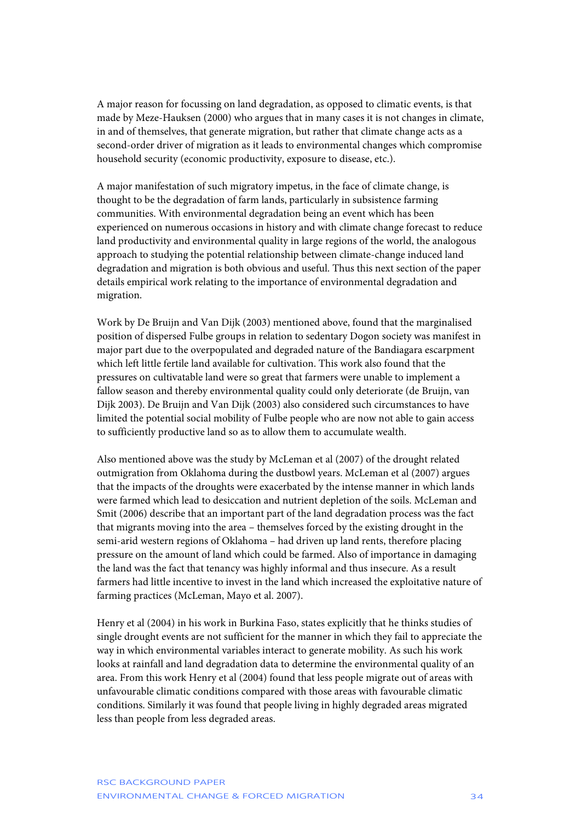A major reason for focussing on land degradation, as opposed to climatic events, is that made by Meze-Hauksen (2000) who argues that in many cases it is not changes in climate, in and of themselves, that generate migration, but rather that climate change acts as a second-order driver of migration as it leads to environmental changes which compromise household security (economic productivity, exposure to disease, etc.).

A major manifestation of such migratory impetus, in the face of climate change, is thought to be the degradation of farm lands, particularly in subsistence farming communities. With environmental degradation being an event which has been experienced on numerous occasions in history and with climate change forecast to reduce land productivity and environmental quality in large regions of the world, the analogous approach to studying the potential relationship between climate-change induced land degradation and migration is both obvious and useful. Thus this next section of the paper details empirical work relating to the importance of environmental degradation and migration.

Work by De Bruijn and Van Dijk (2003) mentioned above, found that the marginalised position of dispersed Fulbe groups in relation to sedentary Dogon society was manifest in major part due to the overpopulated and degraded nature of the Bandiagara escarpment which left little fertile land available for cultivation. This work also found that the pressures on cultivatable land were so great that farmers were unable to implement a fallow season and thereby environmental quality could only deteriorate (de Bruijn, van Dijk 2003). De Bruijn and Van Dijk (2003) also considered such circumstances to have limited the potential social mobility of Fulbe people who are now not able to gain access to sufficiently productive land so as to allow them to accumulate wealth.

Also mentioned above was the study by McLeman et al (2007) of the drought related outmigration from Oklahoma during the dustbowl years. McLeman et al (2007) argues that the impacts of the droughts were exacerbated by the intense manner in which lands were farmed which lead to desiccation and nutrient depletion of the soils. McLeman and Smit (2006) describe that an important part of the land degradation process was the fact that migrants moving into the area – themselves forced by the existing drought in the semi-arid western regions of Oklahoma – had driven up land rents, therefore placing pressure on the amount of land which could be farmed. Also of importance in damaging the land was the fact that tenancy was highly informal and thus insecure. As a result farmers had little incentive to invest in the land which increased the exploitative nature of farming practices (McLeman, Mayo et al. 2007).

Henry et al (2004) in his work in Burkina Faso, states explicitly that he thinks studies of single drought events are not sufficient for the manner in which they fail to appreciate the way in which environmental variables interact to generate mobility. As such his work looks at rainfall and land degradation data to determine the environmental quality of an area. From this work Henry et al (2004) found that less people migrate out of areas with unfavourable climatic conditions compared with those areas with favourable climatic conditions. Similarly it was found that people living in highly degraded areas migrated less than people from less degraded areas.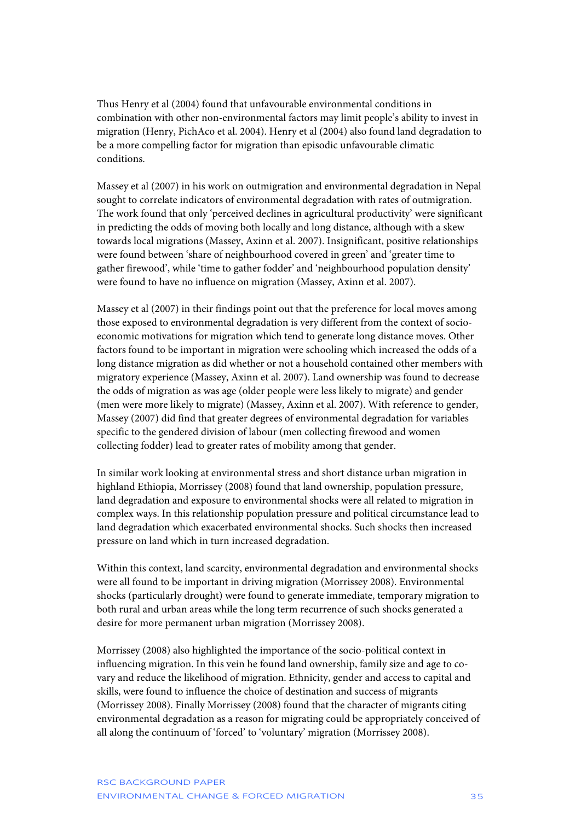Thus Henry et al (2004) found that unfavourable environmental conditions in combination with other non-environmental factors may limit people's ability to invest in migration (Henry, PichAco et al. 2004). Henry et al (2004) also found land degradation to be a more compelling factor for migration than episodic unfavourable climatic conditions.

Massey et al (2007) in his work on outmigration and environmental degradation in Nepal sought to correlate indicators of environmental degradation with rates of outmigration. The work found that only 'perceived declines in agricultural productivity' were significant in predicting the odds of moving both locally and long distance, although with a skew towards local migrations (Massey, Axinn et al. 2007). Insignificant, positive relationships were found between 'share of neighbourhood covered in green' and 'greater time to gather firewood', while 'time to gather fodder' and 'neighbourhood population density' were found to have no influence on migration (Massey, Axinn et al. 2007).

Massey et al (2007) in their findings point out that the preference for local moves among those exposed to environmental degradation is very different from the context of socioeconomic motivations for migration which tend to generate long distance moves. Other factors found to be important in migration were schooling which increased the odds of a long distance migration as did whether or not a household contained other members with migratory experience (Massey, Axinn et al. 2007). Land ownership was found to decrease the odds of migration as was age (older people were less likely to migrate) and gender (men were more likely to migrate) (Massey, Axinn et al. 2007). With reference to gender, Massey (2007) did find that greater degrees of environmental degradation for variables specific to the gendered division of labour (men collecting firewood and women collecting fodder) lead to greater rates of mobility among that gender.

In similar work looking at environmental stress and short distance urban migration in highland Ethiopia, Morrissey (2008) found that land ownership, population pressure, land degradation and exposure to environmental shocks were all related to migration in complex ways. In this relationship population pressure and political circumstance lead to land degradation which exacerbated environmental shocks. Such shocks then increased pressure on land which in turn increased degradation.

Within this context, land scarcity, environmental degradation and environmental shocks were all found to be important in driving migration (Morrissey 2008). Environmental shocks (particularly drought) were found to generate immediate, temporary migration to both rural and urban areas while the long term recurrence of such shocks generated a desire for more permanent urban migration (Morrissey 2008).

Morrissey (2008) also highlighted the importance of the socio-political context in influencing migration. In this vein he found land ownership, family size and age to covary and reduce the likelihood of migration. Ethnicity, gender and access to capital and skills, were found to influence the choice of destination and success of migrants (Morrissey 2008). Finally Morrissey (2008) found that the character of migrants citing environmental degradation as a reason for migrating could be appropriately conceived of all along the continuum of 'forced' to 'voluntary' migration (Morrissey 2008).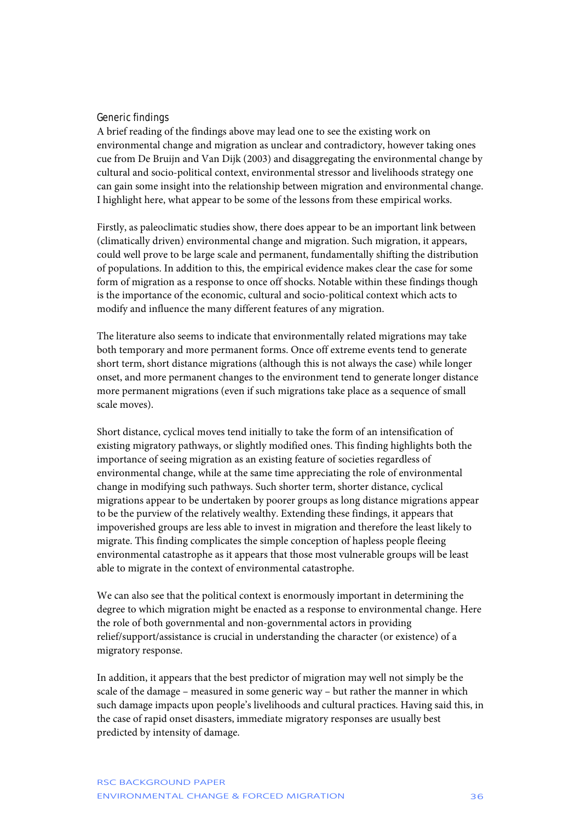### Generic findings

A brief reading of the findings above may lead one to see the existing work on environmental change and migration as unclear and contradictory, however taking ones cue from De Bruijn and Van Dijk (2003) and disaggregating the environmental change by cultural and socio-political context, environmental stressor and livelihoods strategy one can gain some insight into the relationship between migration and environmental change. I highlight here, what appear to be some of the lessons from these empirical works.

Firstly, as paleoclimatic studies show, there does appear to be an important link between (climatically driven) environmental change and migration. Such migration, it appears, could well prove to be large scale and permanent, fundamentally shifting the distribution of populations. In addition to this, the empirical evidence makes clear the case for some form of migration as a response to once off shocks. Notable within these findings though is the importance of the economic, cultural and socio-political context which acts to modify and influence the many different features of any migration.

The literature also seems to indicate that environmentally related migrations may take both temporary and more permanent forms. Once off extreme events tend to generate short term, short distance migrations (although this is not always the case) while longer onset, and more permanent changes to the environment tend to generate longer distance more permanent migrations (even if such migrations take place as a sequence of small scale moves).

Short distance, cyclical moves tend initially to take the form of an intensification of existing migratory pathways, or slightly modified ones. This finding highlights both the importance of seeing migration as an existing feature of societies regardless of environmental change, while at the same time appreciating the role of environmental change in modifying such pathways. Such shorter term, shorter distance, cyclical migrations appear to be undertaken by poorer groups as long distance migrations appear to be the purview of the relatively wealthy. Extending these findings, it appears that impoverished groups are less able to invest in migration and therefore the least likely to migrate. This finding complicates the simple conception of hapless people fleeing environmental catastrophe as it appears that those most vulnerable groups will be least able to migrate in the context of environmental catastrophe.

We can also see that the political context is enormously important in determining the degree to which migration might be enacted as a response to environmental change. Here the role of both governmental and non-governmental actors in providing relief/support/assistance is crucial in understanding the character (or existence) of a migratory response.

In addition, it appears that the best predictor of migration may well not simply be the scale of the damage – measured in some generic way – but rather the manner in which such damage impacts upon people's livelihoods and cultural practices. Having said this, in the case of rapid onset disasters, immediate migratory responses are usually best predicted by intensity of damage.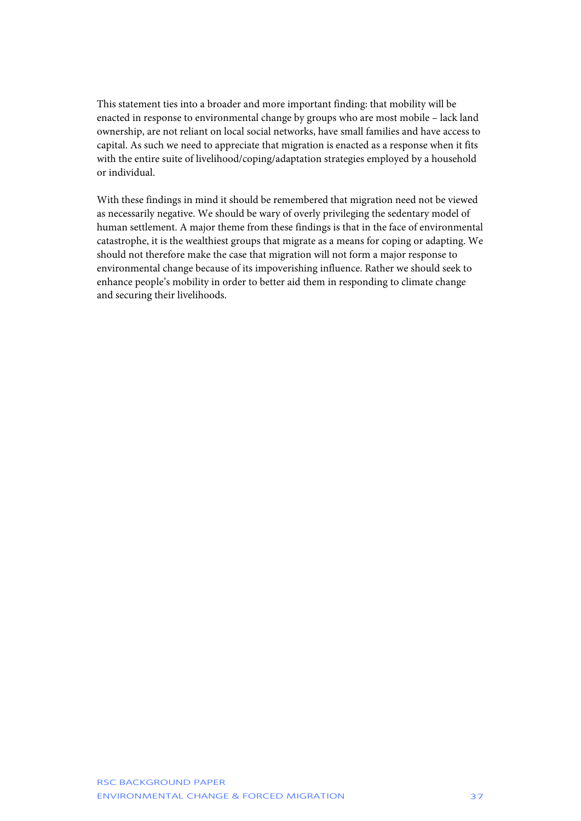This statement ties into a broader and more important finding: that mobility will be enacted in response to environmental change by groups who are most mobile – lack land ownership, are not reliant on local social networks, have small families and have access to capital. As such we need to appreciate that migration is enacted as a response when it fits with the entire suite of livelihood/coping/adaptation strategies employed by a household or individual.

With these findings in mind it should be remembered that migration need not be viewed as necessarily negative. We should be wary of overly privileging the sedentary model of human settlement. A major theme from these findings is that in the face of environmental catastrophe, it is the wealthiest groups that migrate as a means for coping or adapting. We should not therefore make the case that migration will not form a major response to environmental change because of its impoverishing influence. Rather we should seek to enhance people's mobility in order to better aid them in responding to climate change and securing their livelihoods.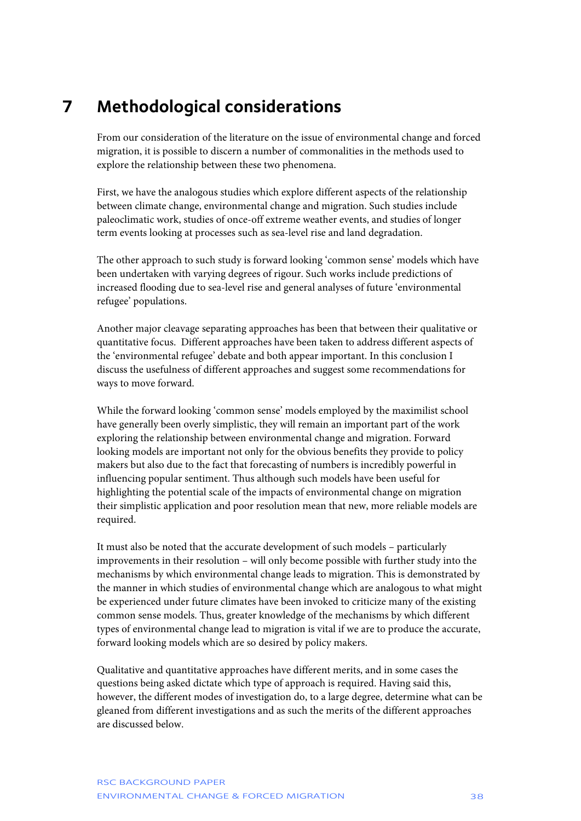# <span id="page-38-0"></span>**7 Methodological considerations**

From our consideration of the literature on the issue of environmental change and forced migration, it is possible to discern a number of commonalities in the methods used to explore the relationship between these two phenomena.

First, we have the analogous studies which explore different aspects of the relationship between climate change, environmental change and migration. Such studies include paleoclimatic work, studies of once-off extreme weather events, and studies of longer term events looking at processes such as sea-level rise and land degradation.

The other approach to such study is forward looking 'common sense' models which have been undertaken with varying degrees of rigour. Such works include predictions of increased flooding due to sea-level rise and general analyses of future 'environmental refugee' populations.

Another major cleavage separating approaches has been that between their qualitative or quantitative focus. Different approaches have been taken to address different aspects of the 'environmental refugee' debate and both appear important. In this conclusion I discuss the usefulness of different approaches and suggest some recommendations for ways to move forward.

While the forward looking 'common sense' models employed by the maximilist school have generally been overly simplistic, they will remain an important part of the work exploring the relationship between environmental change and migration. Forward looking models are important not only for the obvious benefits they provide to policy makers but also due to the fact that forecasting of numbers is incredibly powerful in influencing popular sentiment. Thus although such models have been useful for highlighting the potential scale of the impacts of environmental change on migration their simplistic application and poor resolution mean that new, more reliable models are required.

It must also be noted that the accurate development of such models – particularly improvements in their resolution – will only become possible with further study into the mechanisms by which environmental change leads to migration. This is demonstrated by the manner in which studies of environmental change which are analogous to what might be experienced under future climates have been invoked to criticize many of the existing common sense models. Thus, greater knowledge of the mechanisms by which different types of environmental change lead to migration is vital if we are to produce the accurate, forward looking models which are so desired by policy makers.

Qualitative and quantitative approaches have different merits, and in some cases the questions being asked dictate which type of approach is required. Having said this, however, the different modes of investigation do, to a large degree, determine what can be gleaned from different investigations and as such the merits of the different approaches are discussed below.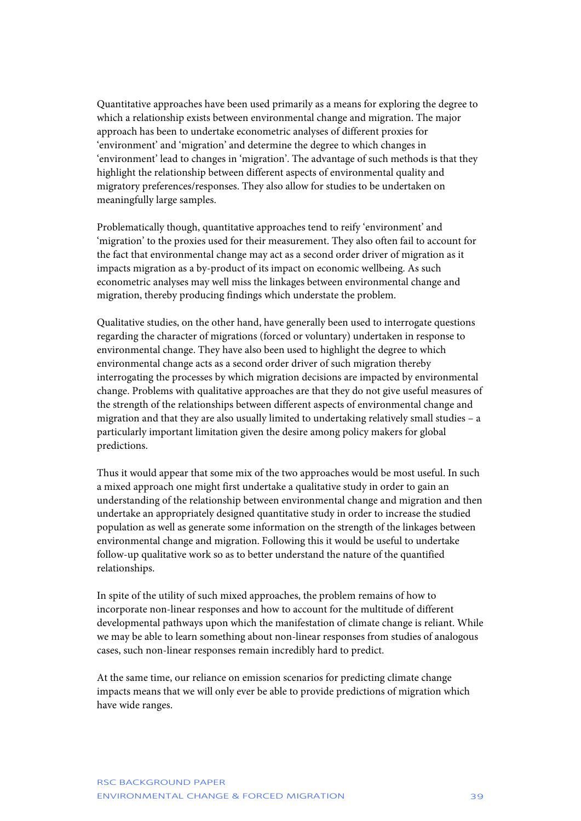Quantitative approaches have been used primarily as a means for exploring the degree to which a relationship exists between environmental change and migration. The major approach has been to undertake econometric analyses of different proxies for 'environment' and 'migration' and determine the degree to which changes in 'environment' lead to changes in 'migration'. The advantage of such methods is that they highlight the relationship between different aspects of environmental quality and migratory preferences/responses. They also allow for studies to be undertaken on meaningfully large samples.

Problematically though, quantitative approaches tend to reify 'environment' and 'migration' to the proxies used for their measurement. They also often fail to account for the fact that environmental change may act as a second order driver of migration as it impacts migration as a by-product of its impact on economic wellbeing. As such econometric analyses may well miss the linkages between environmental change and migration, thereby producing findings which understate the problem.

Qualitative studies, on the other hand, have generally been used to interrogate questions regarding the character of migrations (forced or voluntary) undertaken in response to environmental change. They have also been used to highlight the degree to which environmental change acts as a second order driver of such migration thereby interrogating the processes by which migration decisions are impacted by environmental change. Problems with qualitative approaches are that they do not give useful measures of the strength of the relationships between different aspects of environmental change and migration and that they are also usually limited to undertaking relatively small studies – a particularly important limitation given the desire among policy makers for global predictions.

Thus it would appear that some mix of the two approaches would be most useful. In such a mixed approach one might first undertake a qualitative study in order to gain an understanding of the relationship between environmental change and migration and then undertake an appropriately designed quantitative study in order to increase the studied population as well as generate some information on the strength of the linkages between environmental change and migration. Following this it would be useful to undertake follow-up qualitative work so as to better understand the nature of the quantified relationships.

In spite of the utility of such mixed approaches, the problem remains of how to incorporate non-linear responses and how to account for the multitude of different developmental pathways upon which the manifestation of climate change is reliant. While we may be able to learn something about non-linear responses from studies of analogous cases, such non-linear responses remain incredibly hard to predict.

At the same time, our reliance on emission scenarios for predicting climate change impacts means that we will only ever be able to provide predictions of migration which have wide ranges.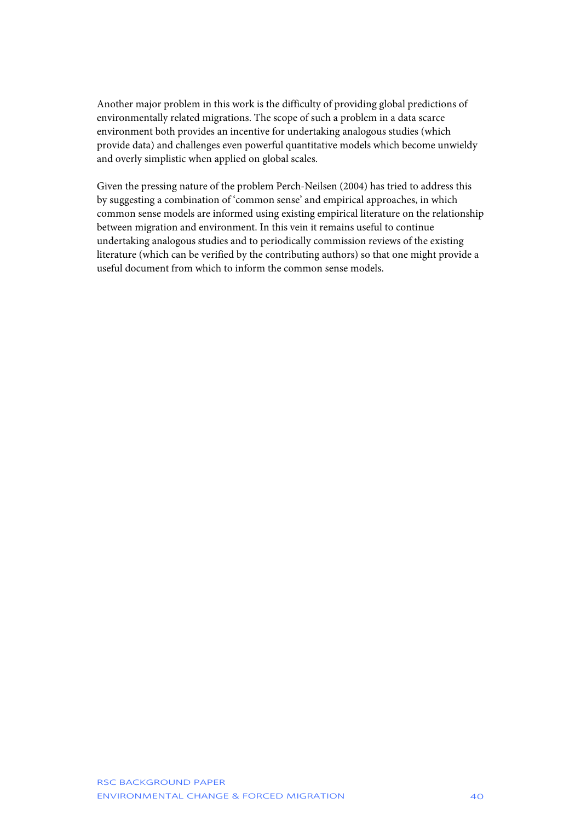Another major problem in this work is the difficulty of providing global predictions of environmentally related migrations. The scope of such a problem in a data scarce environment both provides an incentive for undertaking analogous studies (which provide data) and challenges even powerful quantitative models which become unwieldy and overly simplistic when applied on global scales.

Given the pressing nature of the problem Perch-Neilsen (2004) has tried to address this by suggesting a combination of 'common sense' and empirical approaches, in which common sense models are informed using existing empirical literature on the relationship between migration and environment. In this vein it remains useful to continue undertaking analogous studies and to periodically commission reviews of the existing literature (which can be verified by the contributing authors) so that one might provide a useful document from which to inform the common sense models.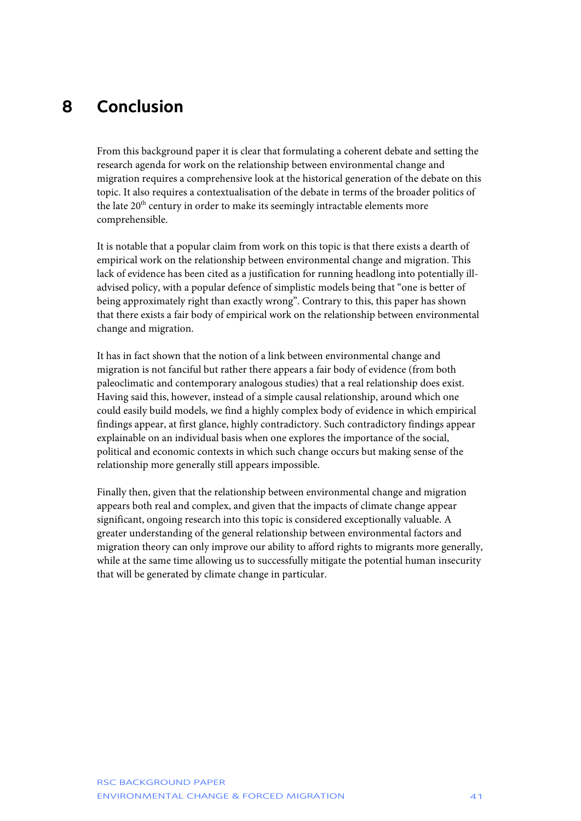# <span id="page-41-0"></span>**8 Conclusion**

From this background paper it is clear that formulating a coherent debate and setting the research agenda for work on the relationship between environmental change and migration requires a comprehensive look at the historical generation of the debate on this topic. It also requires a contextualisation of the debate in terms of the broader politics of the late 20<sup>th</sup> century in order to make its seemingly intractable elements more comprehensible.

It is notable that a popular claim from work on this topic is that there exists a dearth of empirical work on the relationship between environmental change and migration. This lack of evidence has been cited as a justification for running headlong into potentially illadvised policy, with a popular defence of simplistic models being that "one is better of being approximately right than exactly wrong". Contrary to this, this paper has shown that there exists a fair body of empirical work on the relationship between environmental change and migration.

It has in fact shown that the notion of a link between environmental change and migration is not fanciful but rather there appears a fair body of evidence (from both paleoclimatic and contemporary analogous studies) that a real relationship does exist. Having said this, however, instead of a simple causal relationship, around which one could easily build models, we find a highly complex body of evidence in which empirical findings appear, at first glance, highly contradictory. Such contradictory findings appear explainable on an individual basis when one explores the importance of the social, political and economic contexts in which such change occurs but making sense of the relationship more generally still appears impossible.

Finally then, given that the relationship between environmental change and migration appears both real and complex, and given that the impacts of climate change appear significant, ongoing research into this topic is considered exceptionally valuable. A greater understanding of the general relationship between environmental factors and migration theory can only improve our ability to afford rights to migrants more generally, while at the same time allowing us to successfully mitigate the potential human insecurity that will be generated by climate change in particular.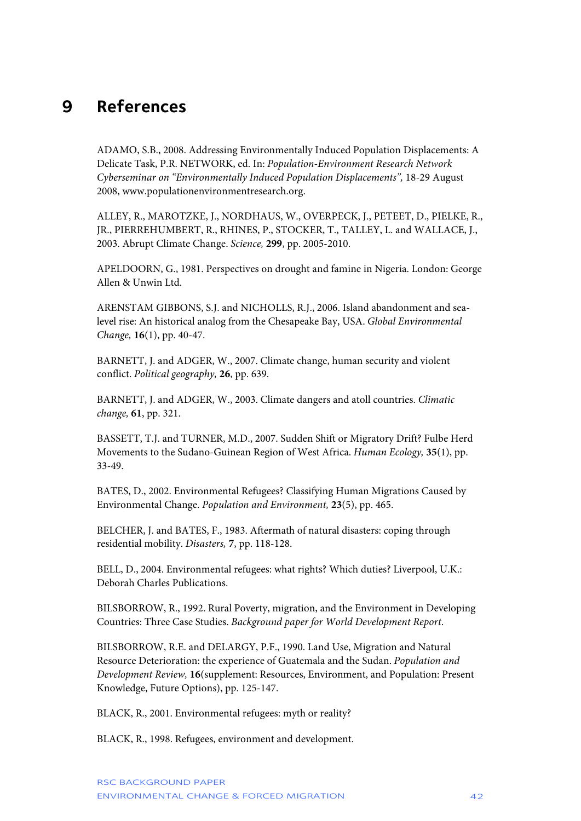### <span id="page-42-0"></span>**9 References**

ADAMO, S.B., 2008. Addressing Environmentally Induced Population Displacements: A Delicate Task, P.R. NETWORK, ed. In: *Population-Environment Research Network Cyberseminar on "Environmentally Induced Population Displacements",* 18-29 August 2008, www.populationenvironmentresearch.org.

ALLEY, R., MAROTZKE, J., NORDHAUS, W., OVERPECK, J., PETEET, D., PIELKE, R., JR., PIERREHUMBERT, R., RHINES, P., STOCKER, T., TALLEY, L. and WALLACE, J., 2003. Abrupt Climate Change. *Science,* **299**, pp. 2005-2010.

APELDOORN, G., 1981. Perspectives on drought and famine in Nigeria. London: George Allen & Unwin Ltd.

ARENSTAM GIBBONS, S.J. and NICHOLLS, R.J., 2006. Island abandonment and sealevel rise: An historical analog from the Chesapeake Bay, USA. *Global Environmental Change,* **16**(1), pp. 40-47.

BARNETT, J. and ADGER, W., 2007. Climate change, human security and violent conflict. *Political geography,* **26**, pp. 639.

BARNETT, J. and ADGER, W., 2003. Climate dangers and atoll countries. *Climatic change,* **61**, pp. 321.

BASSETT, T.J. and TURNER, M.D., 2007. Sudden Shift or Migratory Drift? Fulbe Herd Movements to the Sudano-Guinean Region of West Africa. *Human Ecology,* **35**(1), pp. 33-49.

BATES, D., 2002. Environmental Refugees? Classifying Human Migrations Caused by Environmental Change. *Population and Environment,* **23**(5), pp. 465.

BELCHER, J. and BATES, F., 1983. Aftermath of natural disasters: coping through residential mobility. *Disasters,* **7**, pp. 118-128.

BELL, D., 2004. Environmental refugees: what rights? Which duties? Liverpool, U.K.: Deborah Charles Publications.

BILSBORROW, R., 1992. Rural Poverty, migration, and the Environment in Developing Countries: Three Case Studies. *Background paper for World Development Report*.

BILSBORROW, R.E. and DELARGY, P.F., 1990. Land Use, Migration and Natural Resource Deterioration: the experience of Guatemala and the Sudan. *Population and Development Review,* **16**(supplement: Resources, Environment, and Population: Present Knowledge, Future Options), pp. 125-147.

BLACK, R., 2001. Environmental refugees: myth or reality?

BLACK, R., 1998. Refugees, environment and development.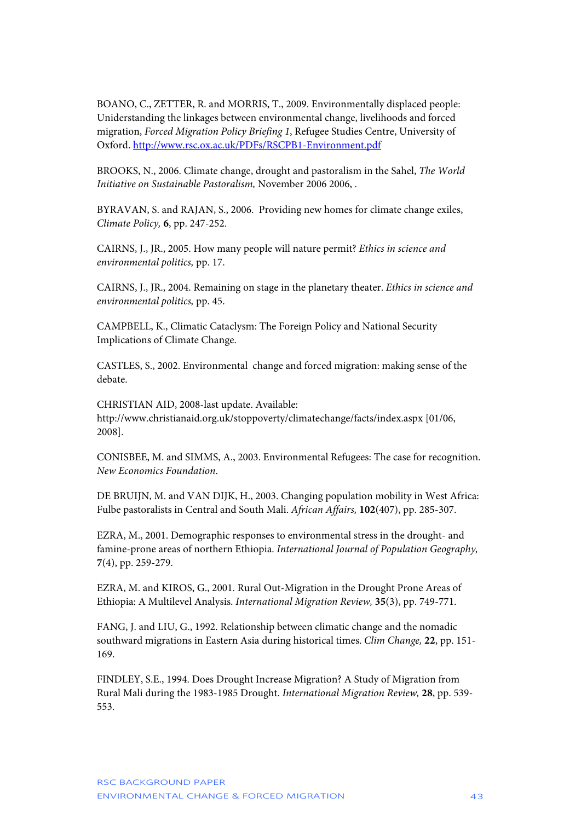BOANO, C., ZETTER, R. and MORRIS, T., 2009. Environmentally displaced people: Uniderstanding the linkages between environmental change, livelihoods and forced migration, *Forced Migration Policy Briefing 1*, Refugee Studies Centre, University of Oxford.<http://www.rsc.ox.ac.uk/PDFs/RSCPB1-Environment.pdf>

BROOKS, N., 2006. Climate change, drought and pastoralism in the Sahel, *The World Initiative on Sustainable Pastoralism,* November 2006 2006, .

BYRAVAN, S. and RAJAN, S., 2006. Providing new homes for climate change exiles, *Climate Policy,* **6**, pp. 247-252.

CAIRNS, J., JR., 2005. How many people will nature permit? *Ethics in science and environmental politics,* pp. 17.

CAIRNS, J., JR., 2004. Remaining on stage in the planetary theater. *Ethics in science and environmental politics,* pp. 45.

CAMPBELL, K., Climatic Cataclysm: The Foreign Policy and National Security Implications of Climate Change.

CASTLES, S., 2002. Environmental change and forced migration: making sense of the debate.

CHRISTIAN AID, 2008-last update. Available: http://www.christianaid.org.uk/stoppoverty/climatechange/facts/index.aspx [01/06, 2008].

CONISBEE, M. and SIMMS, A., 2003. Environmental Refugees: The case for recognition. *New Economics Foundation*.

DE BRUIJN, M. and VAN DIJK, H., 2003. Changing population mobility in West Africa: Fulbe pastoralists in Central and South Mali. *African Affairs,* **102**(407), pp. 285-307.

EZRA, M., 2001. Demographic responses to environmental stress in the drought- and famine-prone areas of northern Ethiopia. *International Journal of Population Geography,*  **7**(4), pp. 259-279.

EZRA, M. and KIROS, G., 2001. Rural Out-Migration in the Drought Prone Areas of Ethiopia: A Multilevel Analysis. *International Migration Review,* **35**(3), pp. 749-771.

FANG, J. and LIU, G., 1992. Relationship between climatic change and the nomadic southward migrations in Eastern Asia during historical times. *Clim Change,* **22**, pp. 151- 169.

FINDLEY, S.E., 1994. Does Drought Increase Migration? A Study of Migration from Rural Mali during the 1983-1985 Drought. *International Migration Review,* **28**, pp. 539- 553.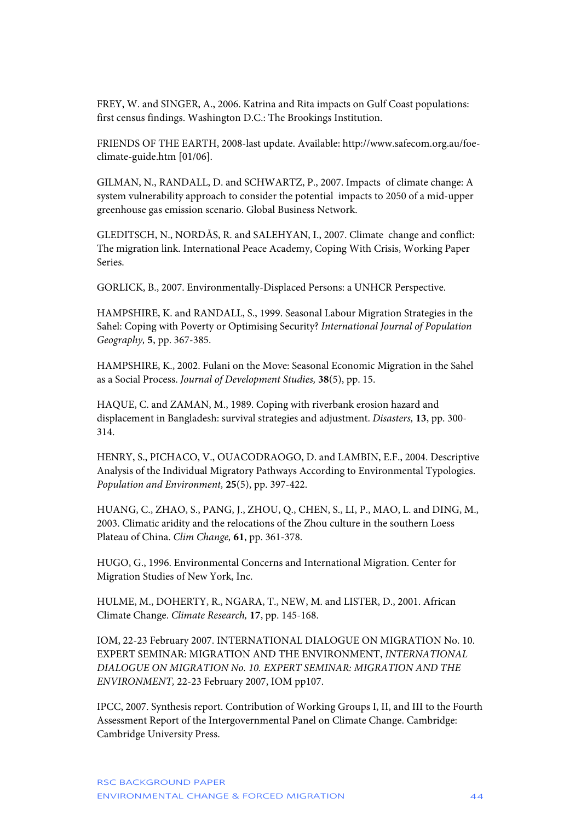FREY, W. and SINGER, A., 2006. Katrina and Rita impacts on Gulf Coast populations: first census findings. Washington D.C.: The Brookings Institution.

FRIENDS OF THE EARTH, 2008-last update. Available: http://www.safecom.org.au/foeclimate-guide.htm [01/06].

GILMAN, N., RANDALL, D. and SCHWARTZ, P., 2007. Impacts of climate change: A system vulnerability approach to consider the potential impacts to 2050 of a mid-upper greenhouse gas emission scenario. Global Business Network.

GLEDITSCH, N., NORDÅS, R. and SALEHYAN, I., 2007. Climate change and conflict: The migration link. International Peace Academy, Coping With Crisis, Working Paper Series.

GORLICK, B., 2007. Environmentally-Displaced Persons: a UNHCR Perspective.

HAMPSHIRE, K. and RANDALL, S., 1999. Seasonal Labour Migration Strategies in the Sahel: Coping with Poverty or Optimising Security? *International Journal of Population Geography,* **5**, pp. 367-385.

HAMPSHIRE, K., 2002. Fulani on the Move: Seasonal Economic Migration in the Sahel as a Social Process. *Journal of Development Studies,* **38**(5), pp. 15.

HAQUE, C. and ZAMAN, M., 1989. Coping with riverbank erosion hazard and displacement in Bangladesh: survival strategies and adjustment. *Disasters,* **13**, pp. 300- 314.

HENRY, S., PICHACO, V., OUACODRAOGO, D. and LAMBIN, E.F., 2004. Descriptive Analysis of the Individual Migratory Pathways According to Environmental Typologies. *Population and Environment,* **25**(5), pp. 397-422.

HUANG, C., ZHAO, S., PANG, J., ZHOU, Q., CHEN, S., LI, P., MAO, L. and DING, M., 2003. Climatic aridity and the relocations of the Zhou culture in the southern Loess Plateau of China. *Clim Change,* **61**, pp. 361-378.

HUGO, G., 1996. Environmental Concerns and International Migration. Center for Migration Studies of New York, Inc.

HULME, M., DOHERTY, R., NGARA, T., NEW, M. and LISTER, D., 2001. African Climate Change. *Climate Research,* **17**, pp. 145-168.

IOM, 22-23 February 2007. INTERNATIONAL DIALOGUE ON MIGRATION No. 10. EXPERT SEMINAR: MIGRATION AND THE ENVIRONMENT, *INTERNATIONAL DIALOGUE ON MIGRATION No. 10. EXPERT SEMINAR: MIGRATION AND THE ENVIRONMENT,* 22-23 February 2007, IOM pp107.

IPCC, 2007. Synthesis report. Contribution of Working Groups I, II, and III to the Fourth Assessment Report of the Intergovernmental Panel on Climate Change. Cambridge: Cambridge University Press.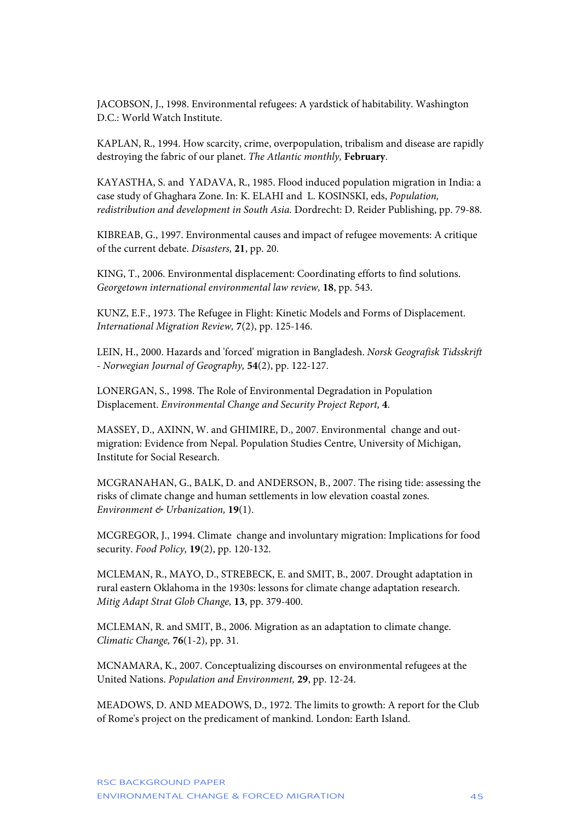JACOBSON, J., 1998. Environmental refugees: A yardstick of habitability. Washington D.C.: World Watch Institute.

KAPLAN, R., 1994. How scarcity, crime, overpopulation, tribalism and disease are rapidly destroying the fabric of our planet. *The Atlantic monthly,* **February**.

KAYASTHA, S. and YADAVA, R., 1985. Flood induced population migration in India: a case study of Ghaghara Zone. In: K. ELAHI and L. KOSINSKI, eds, *Population, redistribution and development in South Asia.* Dordrecht: D. Reider Publishing, pp. 79-88.

KIBREAB, G., 1997. Environmental causes and impact of refugee movements: A critique of the current debate. *Disasters,* **21**, pp. 20.

KING, T., 2006. Environmental displacement: Coordinating efforts to find solutions. *Georgetown international environmental law review,* **18**, pp. 543.

KUNZ, E.F., 1973. The Refugee in Flight: Kinetic Models and Forms of Displacement. *International Migration Review,* **7**(2), pp. 125-146.

LEIN, H., 2000. Hazards and 'forced' migration in Bangladesh. *Norsk Geografisk Tidsskrift - Norwegian Journal of Geography,* **54**(2), pp. 122-127.

LONERGAN, S., 1998. The Role of Environmental Degradation in Population Displacement. *Environmental Change and Security Project Report,* **4**.

MASSEY, D., AXINN, W. and GHIMIRE, D., 2007. Environmental change and outmigration: Evidence from Nepal. Population Studies Centre, University of Michigan, Institute for Social Research.

MCGRANAHAN, G., BALK, D. and ANDERSON, B., 2007. The rising tide: assessing the risks of climate change and human settlements in low elevation coastal zones. *Environment & Urbanization,* **19**(1).

MCGREGOR, J., 1994. Climate change and involuntary migration: Implications for food security. *Food Policy,* **19**(2), pp. 120-132.

MCLEMAN, R., MAYO, D., STREBECK, E. and SMIT, B., 2007. Drought adaptation in rural eastern Oklahoma in the 1930s: lessons for climate change adaptation research. *Mitig Adapt Strat Glob Change,* **13**, pp. 379-400.

MCLEMAN, R. and SMIT, B., 2006. Migration as an adaptation to climate change. *Climatic Change,* **76**(1-2), pp. 31.

MCNAMARA, K., 2007. Conceptualizing discourses on environmental refugees at the United Nations. *Population and Environment,* **29**, pp. 12-24.

MEADOWS, D. AND MEADOWS, D., 1972. The limits to growth: A report for the Club of Rome's project on the predicament of mankind. London: Earth Island.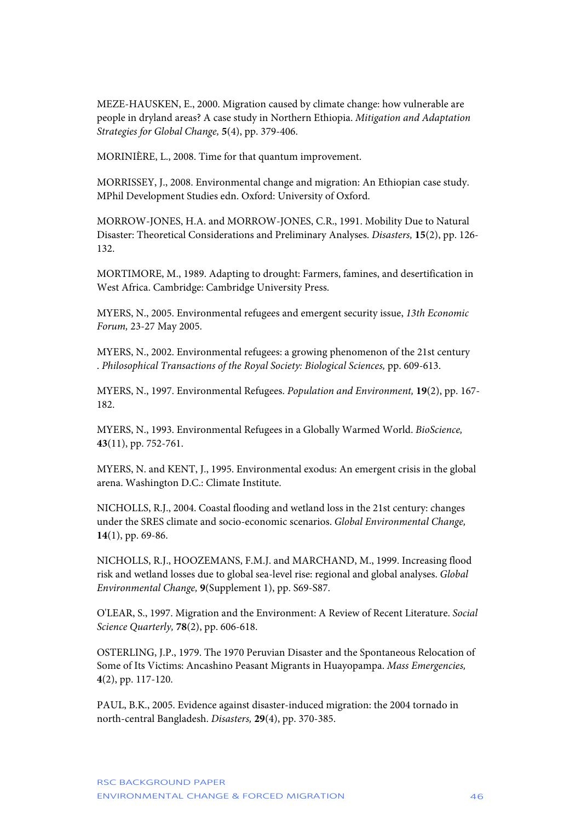MEZE-HAUSKEN, E., 2000. Migration caused by climate change: how vulnerable are people in dryland areas? A case study in Northern Ethiopia. *Mitigation and Adaptation Strategies for Global Change,* **5**(4), pp. 379-406.

MORINIÈRE, L., 2008. Time for that quantum improvement.

MORRISSEY, J., 2008. Environmental change and migration: An Ethiopian case study. MPhil Development Studies edn. Oxford: University of Oxford.

MORROW-JONES, H.A. and MORROW-JONES, C.R., 1991. Mobility Due to Natural Disaster: Theoretical Considerations and Preliminary Analyses. *Disasters,* **15**(2), pp. 126- 132.

MORTIMORE, M., 1989. Adapting to drought: Farmers, famines, and desertification in West Africa. Cambridge: Cambridge University Press.

MYERS, N., 2005. Environmental refugees and emergent security issue, *13th Economic Forum,* 23-27 May 2005.

MYERS, N., 2002. Environmental refugees: a growing phenomenon of the 21st century . *Philosophical Transactions of the Royal Society: Biological Sciences,* pp. 609-613.

MYERS, N., 1997. Environmental Refugees. *Population and Environment,* **19**(2), pp. 167- 182.

MYERS, N., 1993. Environmental Refugees in a Globally Warmed World. *BioScience,*  **43**(11), pp. 752-761.

MYERS, N. and KENT, J., 1995. Environmental exodus: An emergent crisis in the global arena. Washington D.C.: Climate Institute.

NICHOLLS, R.J., 2004. Coastal flooding and wetland loss in the 21st century: changes under the SRES climate and socio-economic scenarios. *Global Environmental Change,*  **14**(1), pp. 69-86.

NICHOLLS, R.J., HOOZEMANS, F.M.J. and MARCHAND, M., 1999. Increasing flood risk and wetland losses due to global sea-level rise: regional and global analyses. *Global Environmental Change,* **9**(Supplement 1), pp. S69-S87.

O'LEAR, S., 1997. Migration and the Environment: A Review of Recent Literature. *Social Science Quarterly,* **78**(2), pp. 606-618.

OSTERLING, J.P., 1979. The 1970 Peruvian Disaster and the Spontaneous Relocation of Some of Its Victims: Ancashino Peasant Migrants in Huayopampa. *Mass Emergencies,*  **4**(2), pp. 117-120.

PAUL, B.K., 2005. Evidence against disaster-induced migration: the 2004 tornado in north-central Bangladesh. *Disasters,* **29**(4), pp. 370-385.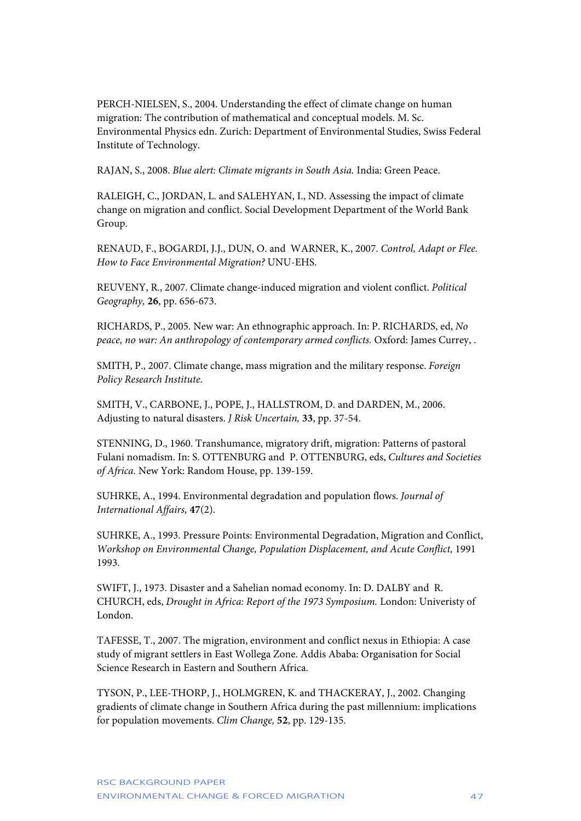PERCH-NIELSEN, S., 2004. Understanding the effect of climate change on human migration: The contribution of mathematical and conceptual models. M. Sc. Environmental Physics edn. Zurich: Department of Environmental Studies, Swiss Federal Institute of Technology.

RAJAN, S., 2008. *Blue alert: Climate migrants in South Asia.* India: Green Peace.

RALEIGH, C., JORDAN, L. and SALEHYAN, I., ND. Assessing the impact of climate change on migration and conflict. Social Development Department of the World Bank Group.

RENAUD, F., BOGARDI, J.J., DUN, O. and WARNER, K., 2007. *Control, Adapt or Flee. How to Face Environmental Migration?* UNU-EHS.

REUVENY, R., 2007. Climate change-induced migration and violent conflict. *Political Geography,* **26**, pp. 656-673.

RICHARDS, P., 2005. New war: An ethnographic approach. In: P. RICHARDS, ed, *No peace, no war: An anthropology of contemporary armed conflicts.* Oxford: James Currey, .

SMITH, P., 2007. Climate change, mass migration and the military response. *Foreign Policy Research Institute*.

SMITH, V., CARBONE, J., POPE, J., HALLSTROM, D. and DARDEN, M., 2006. Adjusting to natural disasters. *J Risk Uncertain,* **33**, pp. 37-54.

STENNING, D., 1960. Transhumance, migratory drift, migration: Patterns of pastoral Fulani nomadism. In: S. OTTENBURG and P. OTTENBURG, eds, *Cultures and Societies of Africa.* New York: Random House, pp. 139-159.

SUHRKE, A., 1994. Environmental degradation and population flows. *Journal of International Affairs,* **47**(2).

SUHRKE, A., 1993. Pressure Points: Environmental Degradation, Migration and Conflict, *Workshop on Environmental Change, Population Displacement, and Acute Conflict, 1991* 1993.

SWIFT, J., 1973. Disaster and a Sahelian nomad economy. In: D. DALBY and R. CHURCH, eds, *Drought in Africa: Report of the 1973 Symposium.* London: Univeristy of London.

TAFESSE, T., 2007. The migration, environment and conflict nexus in Ethiopia: A case study of migrant settlers in East Wollega Zone. Addis Ababa: Organisation for Social Science Research in Eastern and Southern Africa.

TYSON, P., LEE-THORP, J., HOLMGREN, K. and THACKERAY, J., 2002. Changing gradients of climate change in Southern Africa during the past millennium: implications for population movements. *Clim Change,* **52**, pp. 129-135.